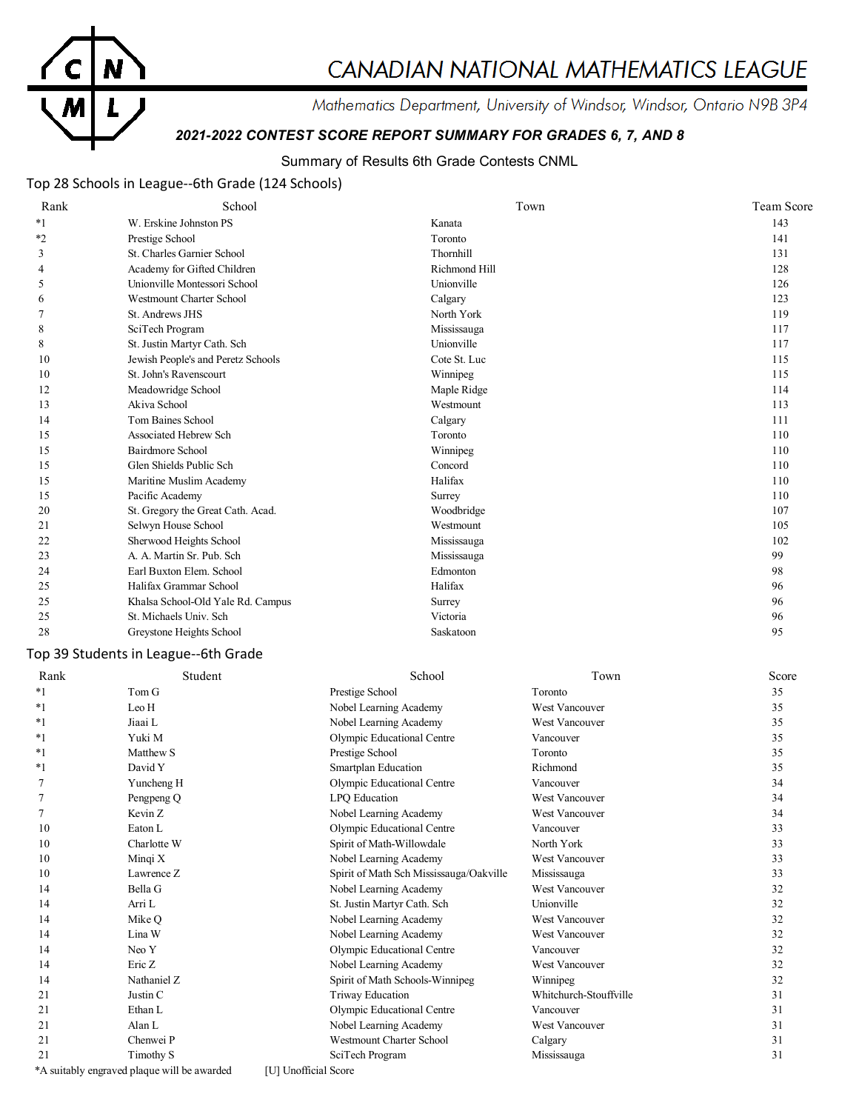

# CANADIAN NATIONAL MATHEMATICS LEAGUE

Mathematics Department, University of Windsor, Windsor, Ontario N9B 3P4

# *2021-2022 CONTEST SCORE REPORT SUMMARY FOR GRADES 6, 7, AND 8*

# Summary of Results 6th Grade Contests CNML

# Top 28 Schools in League--6th Grade (124 Schools)

| Rank    | School                             | Town          | <b>Team Score</b> |
|---------|------------------------------------|---------------|-------------------|
| $*_{1}$ | W. Erskine Johnston PS             | Kanata        | 143               |
| $*2$    | Prestige School                    | Toronto       | 141               |
| 3       | St. Charles Garnier School         | Thornhill     | 131               |
| 4       | Academy for Gifted Children        | Richmond Hill | 128               |
| 5       | Unionville Montessori School       | Unionville    | 126               |
| 6       | <b>Westmount Charter School</b>    | Calgary       | 123               |
|         | St. Andrews JHS                    | North York    | 119               |
| 8       | SciTech Program                    | Mississauga   | 117               |
| 8       | St. Justin Martyr Cath. Sch        | Unionville    | 117               |
| 10      | Jewish People's and Peretz Schools | Cote St. Luc  | 115               |
| 10      | St. John's Ravenscourt             | Winnipeg      | 115               |
| 12      | Meadowridge School                 | Maple Ridge   | 114               |
| 13      | Akiva School                       | Westmount     | 113               |
| 14      | Tom Baines School                  | Calgary       | 111               |
| 15      | Associated Hebrew Sch              | Toronto       | 110               |
| 15      | Bairdmore School                   | Winnipeg      | 110               |
| 15      | Glen Shields Public Sch            | Concord       | 110               |
| 15      | Maritine Muslim Academy            | Halifax       | 110               |
| 15      | Pacific Academy                    | Surrey        | 110               |
| 20      | St. Gregory the Great Cath. Acad.  | Woodbridge    | 107               |
| 21      | Selwyn House School                | Westmount     | 105               |
| 22      | Sherwood Heights School            | Mississauga   | 102               |
| 23      | A. A. Martin Sr. Pub. Sch          | Mississauga   | 99                |
| 24      | Earl Buxton Elem. School           | Edmonton      | 98                |
| 25      | Halifax Grammar School             | Halifax       | 96                |
| 25      | Khalsa School-Old Yale Rd. Campus  | Surrey        | 96                |
| 25      | St. Michaels Univ. Sch             | Victoria      | 96                |
| 28      | Greystone Heights School           | Saskatoon     | 95                |

# Top 39 Students in League--6th Grade

| Rank  | Student                                     | School                                  | Town                   | Score |
|-------|---------------------------------------------|-----------------------------------------|------------------------|-------|
| $*1$  | Tom G                                       | Prestige School                         | Toronto                | 35    |
| $*1$  | Leo H                                       | Nobel Learning Academy                  | <b>West Vancouver</b>  | 35    |
| $*1$  | Jiaai L                                     | Nobel Learning Academy                  | West Vancouver         | 35    |
| *1    | Yuki M                                      | Olympic Educational Centre              | Vancouver              | 35    |
| *1    | Matthew S                                   | Prestige School                         | Toronto                | 35    |
| $^*1$ | David Y                                     | Smartplan Education                     | Richmond               | 35    |
|       | Yuncheng H                                  | Olympic Educational Centre              | Vancouver              | 34    |
|       | Pengpeng Q                                  | LPQ Education                           | <b>West Vancouver</b>  | 34    |
|       | Kevin Z                                     | Nobel Learning Academy                  | <b>West Vancouver</b>  | 34    |
| 10    | Eaton L                                     | Olympic Educational Centre              | Vancouver              | 33    |
| 10    | Charlotte W                                 | Spirit of Math-Willowdale               | North York             | 33    |
| 10    | Mingi X                                     | Nobel Learning Academy                  | West Vancouver         | 33    |
| 10    | Lawrence Z                                  | Spirit of Math Sch Mississauga/Oakville | Mississauga            | 33    |
| 14    | Bella G                                     | Nobel Learning Academy                  | <b>West Vancouver</b>  | 32    |
| 14    | Arri L                                      | St. Justin Martyr Cath. Sch             | Unionville             | 32    |
| 14    | Mike O                                      | Nobel Learning Academy                  | <b>West Vancouver</b>  | 32    |
| 14    | Lina W                                      | Nobel Learning Academy                  | <b>West Vancouver</b>  | 32    |
| 14    | Neo Y                                       | Olympic Educational Centre              | Vancouver              | 32    |
| 14    | Eric Z                                      | Nobel Learning Academy                  | <b>West Vancouver</b>  | 32    |
| 14    | Nathaniel Z                                 | Spirit of Math Schools-Winnipeg         | Winnipeg               | 32    |
| 21    | Justin C                                    | Triway Education                        | Whitchurch-Stouffville | 31    |
| 21    | Ethan L                                     | Olympic Educational Centre              | Vancouver              | 31    |
| 21    | Alan L                                      | Nobel Learning Academy                  | <b>West Vancouver</b>  | 31    |
| 21    | Chenwei P                                   | <b>Westmount Charter School</b>         | Calgary                | 31    |
| 21    | Timothy S                                   | SciTech Program                         | Mississauga            | 31    |
|       | *A suitably engraved plaque will be awarded | [U] Unofficial Score                    |                        |       |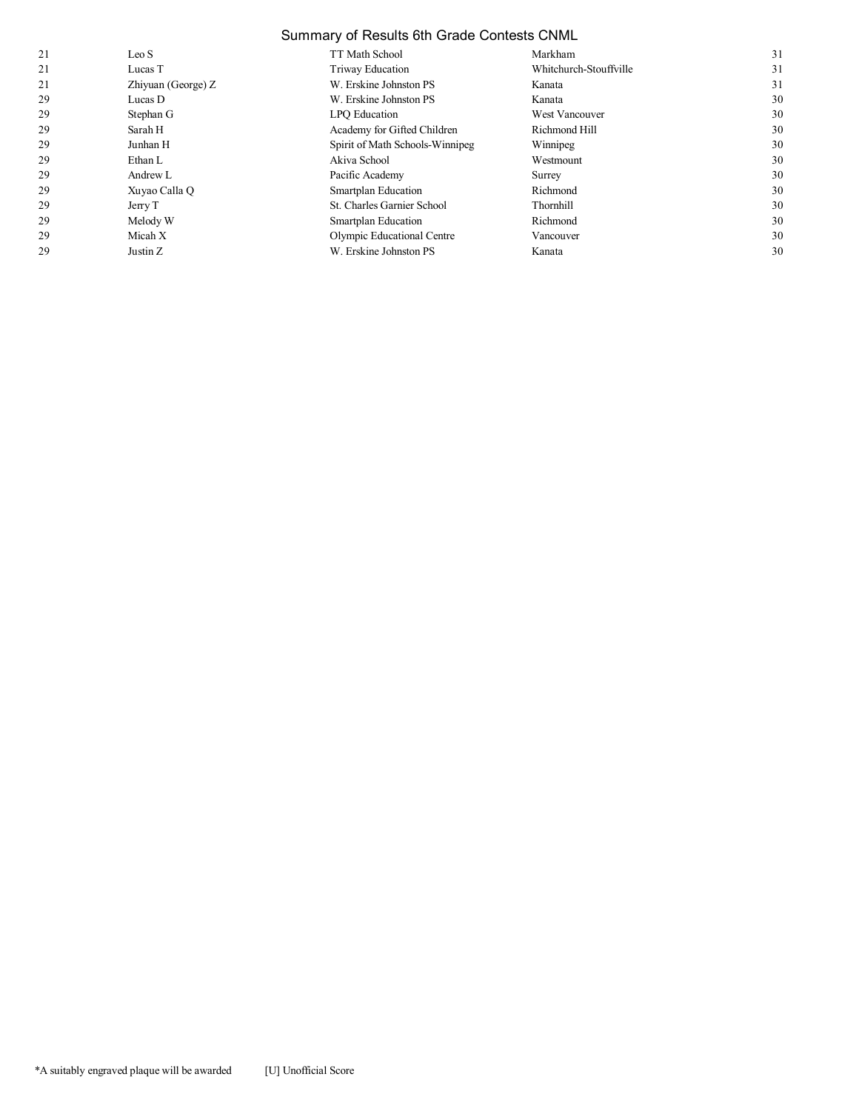# Summary of Results 6th Grade Contests CNML

| 21 | Leo S              | TT Math School                  | Markham                | 31 |
|----|--------------------|---------------------------------|------------------------|----|
| 21 | Lucas T            | Triway Education                | Whitchurch-Stouffville | 31 |
| 21 | Zhiyuan (George) Z | W. Erskine Johnston PS          | Kanata                 | 31 |
| 29 | Lucas D            | W. Erskine Johnston PS          | Kanata                 | 30 |
| 29 | Stephan G          | LPO Education                   | West Vancouver         | 30 |
| 29 | Sarah H            | Academy for Gifted Children     | Richmond Hill          | 30 |
| 29 | Junhan H           | Spirit of Math Schools-Winnipeg | Winnipeg               | 30 |
| 29 | Ethan L            | Akiva School                    | Westmount              | 30 |
| 29 | Andrew L           | Pacific Academy                 | Surrey                 | 30 |
| 29 | Xuyao Calla Q      | Smartplan Education             | Richmond               | 30 |
| 29 | Jerry T            | St. Charles Garnier School      | Thornhill              | 30 |
| 29 | Melody W           | Smartplan Education             | Richmond               | 30 |
| 29 | Micah X            | Olympic Educational Centre      | Vancouver              | 30 |
| 29 | Justin Z           | W. Erskine Johnston PS          | Kanata                 | 30 |
|    |                    |                                 |                        |    |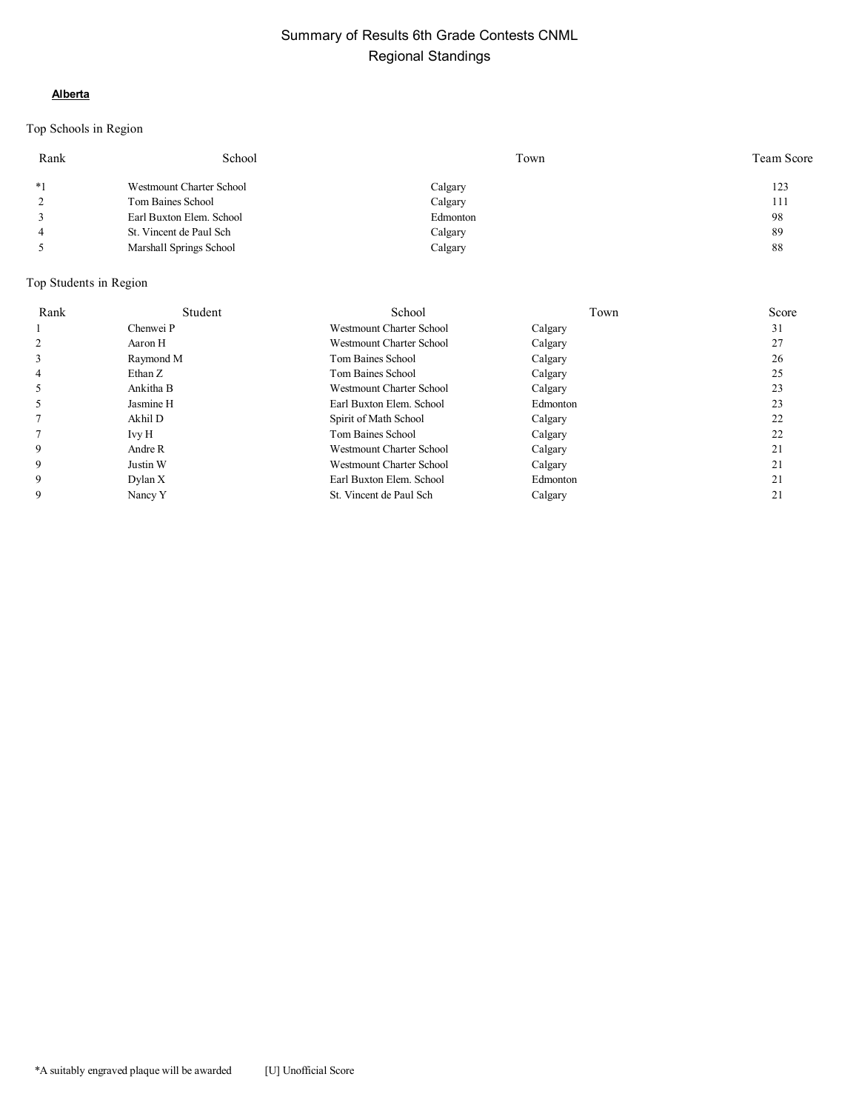### **Alberta**

# Top Schools in Region

| Rank           | School                   | Town     | Team Score |
|----------------|--------------------------|----------|------------|
| $*1$           | Westmount Charter School | Calgary  | 123        |
| $\overline{2}$ | Tom Baines School        | Calgary  | 111        |
|                | Earl Buxton Elem. School | Edmonton | 98         |
| $\overline{4}$ | St. Vincent de Paul Sch  | Calgary  | 89         |
|                | Marshall Springs School  | Calgary  | 88         |

| Rank | Student   | School                          | Town     | Score |
|------|-----------|---------------------------------|----------|-------|
|      | Chenwei P | <b>Westmount Charter School</b> | Calgary  | 31    |
|      | Aaron H   | Westmount Charter School        | Calgary  | 27    |
| 3    | Raymond M | Tom Baines School               | Calgary  | 26    |
| 4    | Ethan Z   | Tom Baines School               | Calgary  | 25    |
|      | Ankitha B | <b>Westmount Charter School</b> | Calgary  | 23    |
|      | Jasmine H | Earl Buxton Elem. School        | Edmonton | 23    |
|      | Akhil D   | Spirit of Math School           | Calgary  | 22    |
|      | Ivy H     | Tom Baines School               | Calgary  | 22    |
| 9    | Andre R   | <b>Westmount Charter School</b> | Calgary  | 21    |
| 9    | Justin W  | <b>Westmount Charter School</b> | Calgary  | 21    |
| 9    | Dylan X   | Earl Buxton Elem. School        | Edmonton | 21    |
| 9    | Nancy Y   | St. Vincent de Paul Sch         | Calgary  | 21    |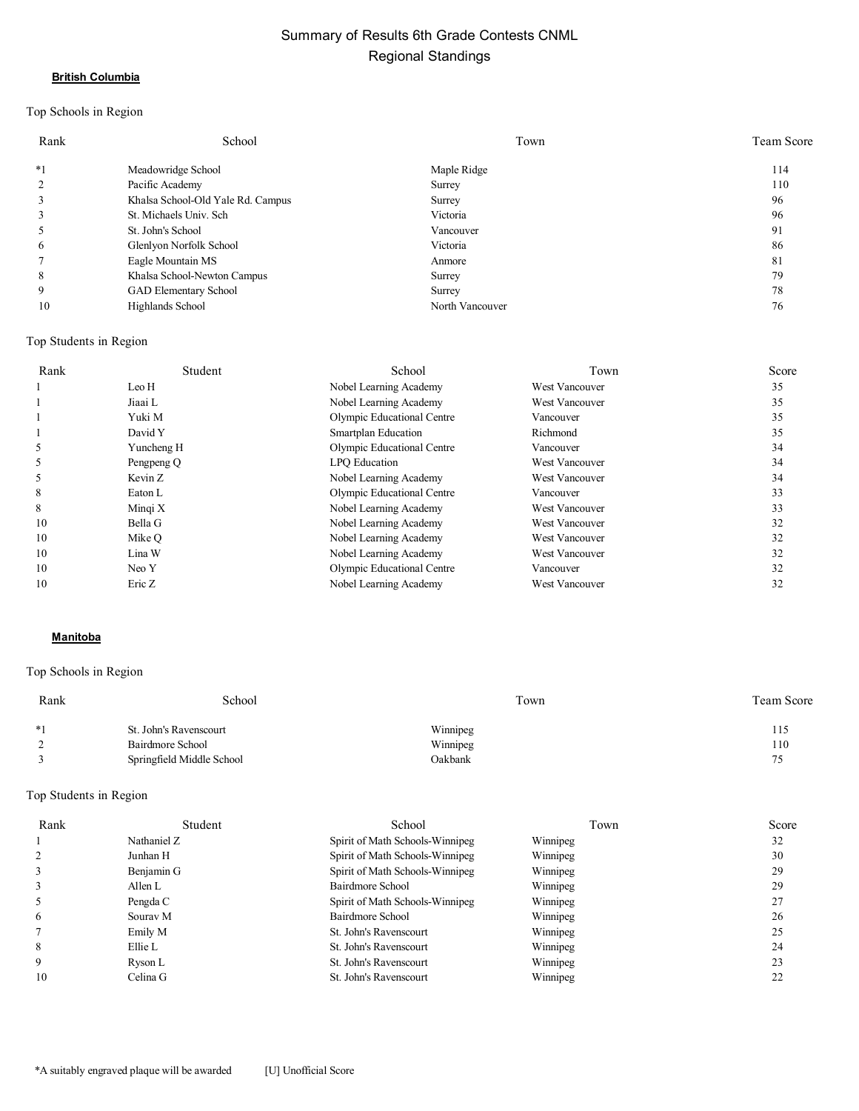#### **British Columbia**

# Top Schools in Region

| Rank | School                            | Town            | Team Score |
|------|-----------------------------------|-----------------|------------|
| $*1$ | Meadowridge School                | Maple Ridge     | 114        |
| 2    | Pacific Academy                   | Surrey          | 110        |
| 3    | Khalsa School-Old Yale Rd. Campus | Surrey          | 96         |
| 3    | St. Michaels Univ. Sch            | Victoria        | 96         |
| 5    | St. John's School                 | Vancouver       | 91         |
| 6    | Glenlyon Norfolk School           | Victoria        | 86         |
|      | Eagle Mountain MS                 | Anmore          | 81         |
| 8    | Khalsa School-Newton Campus       | Surrey          | 79         |
| 9    | GAD Elementary School             | Surrey          | 78         |
| 10   | Highlands School                  | North Vancouver | 76         |

#### Top Students in Region

| Rank | Student    | School                     | Town                  | Score |
|------|------------|----------------------------|-----------------------|-------|
|      | Leo H      | Nobel Learning Academy     | West Vancouver        | 35    |
|      | Jiaai L    | Nobel Learning Academy     | West Vancouver        | 35    |
|      | Yuki M     | Olympic Educational Centre | Vancouver             | 35    |
|      | David Y    | Smartplan Education        | Richmond              | 35    |
|      | Yuncheng H | Olympic Educational Centre | Vancouver             | 34    |
|      | Pengpeng Q | LPO Education              | West Vancouver        | 34    |
|      | Kevin Z    | Nobel Learning Academy     | West Vancouver        | 34    |
| 8    | Eaton L    | Olympic Educational Centre | Vancouver             | 33    |
| 8    | Mingi X    | Nobel Learning Academy     | West Vancouver        | 33    |
| 10   | Bella G    | Nobel Learning Academy     | West Vancouver        | 32    |
| 10   | Mike O     | Nobel Learning Academy     | <b>West Vancouver</b> | 32    |
| 10   | Lina W     | Nobel Learning Academy     | West Vancouver        | 32    |
| 10   | Neo Y      | Olympic Educational Centre | Vancouver             | 32    |
| 10   | Eric Z     | Nobel Learning Academy     | <b>West Vancouver</b> | 32    |

#### **Manitoba**

#### Top Schools in Region

| Rank          | School                    | Town     | Team Score |
|---------------|---------------------------|----------|------------|
| $*1$          | St. John's Ravenscourt    | Winnipeg | 115        |
| $\mathcal{L}$ | Bairdmore School          | Winnipeg | 110        |
|               | Springfield Middle School | Oakbank  | 75         |

| Rank | Student     | School                          | Town     | Score |
|------|-------------|---------------------------------|----------|-------|
|      | Nathaniel Z | Spirit of Math Schools-Winnipeg | Winnipeg | 32    |
|      | Junhan H    | Spirit of Math Schools-Winnipeg | Winnipeg | 30    |
| 3    | Benjamin G  | Spirit of Math Schools-Winnipeg | Winnipeg | 29    |
| 3    | Allen L     | Bairdmore School                | Winnipeg | 29    |
|      | Pengda C    | Spirit of Math Schools-Winnipeg | Winnipeg | 27    |
| 6    | Sourav M    | Bairdmore School                | Winnipeg | 26    |
|      | Emily M     | St. John's Ravenscourt          | Winnipeg | 25    |
| 8    | Ellie L     | St. John's Ravenscourt          | Winnipeg | 24    |
| 9    | Ryson L     | St. John's Ravenscourt          | Winnipeg | 23    |
| 10   | Celina G    | St. John's Ravenscourt          | Winnipeg | 22    |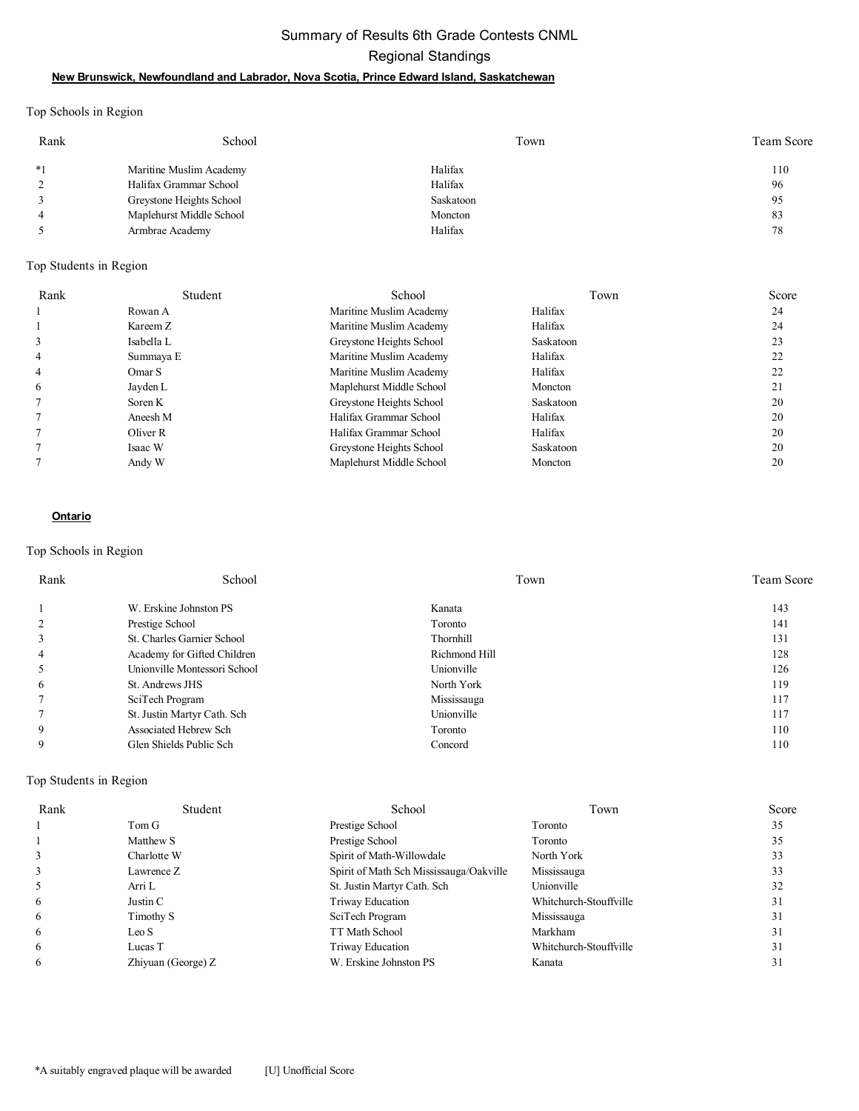# Summary of Results 6th Grade Contests CNML Regional Standings **New Brunswick, Newfoundland and Labrador, Nova Scotia, Prince Edward Island, Saskatchewan**

Top Schools in Region

| Rank | School                   | Town      | Team Score |
|------|--------------------------|-----------|------------|
| $*1$ | Maritine Muslim Academy  | Halifax   | 110        |
|      | Halifax Grammar School   | Halifax   | 96         |
|      | Greystone Heights School | Saskatoon | 95         |
|      | Maplehurst Middle School | Moncton   | 83         |
|      | Armbrae Academy          | Halifax   | 78         |

Top Students in Region

| Rank | Student           | School                   | Town      | Score |
|------|-------------------|--------------------------|-----------|-------|
|      | Rowan A           | Maritine Muslim Academy  | Halifax   | 24    |
|      | Kareem Z          | Maritine Muslim Academy  | Halifax   | 24    |
| 3    | Isabella L        | Greystone Heights School | Saskatoon | 23    |
| 4    | Summaya E         | Maritine Muslim Academy  | Halifax   | 22    |
| 4    | Omar <sub>S</sub> | Maritine Muslim Academy  | Halifax   | 22    |
| 6    | Jayden L          | Maplehurst Middle School | Moncton   | 21    |
|      | Soren K           | Greystone Heights School | Saskatoon | 20    |
|      | Aneesh M          | Halifax Grammar School   | Halifax   | 20    |
|      | Oliver R          | Halifax Grammar School   | Halifax   | 20    |
|      | Isaac W           | Greystone Heights School | Saskatoon | 20    |
|      | Andy W            | Maplehurst Middle School | Moncton   | 20    |

#### **Ontario**

#### Top Schools in Region

| Rank | School                       | Town          | <b>Team Score</b> |
|------|------------------------------|---------------|-------------------|
|      | W. Erskine Johnston PS       | Kanata        | 143               |
|      | Prestige School              | Toronto       | 141               |
|      | St. Charles Garnier School   | Thornhill     | 131               |
| 4    | Academy for Gifted Children  | Richmond Hill | 128               |
|      | Unionville Montessori School | Unionville    | 126               |
| 6    | St. Andrews JHS              | North York    | 119               |
|      | SciTech Program              | Mississauga   | 117               |
|      | St. Justin Martyr Cath. Sch  | Unionville    | 117               |
| 9    | Associated Hebrew Sch        | Toronto       | 110               |
| 9    | Glen Shields Public Sch      | Concord       | 110               |

| Rank | Student            | School                                  | Town                   | Score |
|------|--------------------|-----------------------------------------|------------------------|-------|
|      | Tom G              | Prestige School                         | Toronto                | 35    |
|      | Matthew S          | Prestige School                         | Toronto                | 35    |
|      | Charlotte W        | Spirit of Math-Willowdale               | North York             | 33    |
|      | Lawrence Z         | Spirit of Math Sch Mississauga/Oakville | Mississauga            | 33    |
|      | Arri L             | St. Justin Martyr Cath. Sch             | Unionville             | 32    |
| O    | Justin C           | Triway Education                        | Whitchurch-Stouffville | 31    |
| O    | Timothy S          | SciTech Program                         | Mississauga            | 31    |
| 6    | Leo S              | TT Math School                          | Markham                | 31    |
| 6    | Lucas T            | Triway Education                        | Whitchurch-Stouffville | 31    |
| 6    | Zhiyuan (George) Z | W. Erskine Johnston PS                  | Kanata                 | 31    |
|      |                    |                                         |                        |       |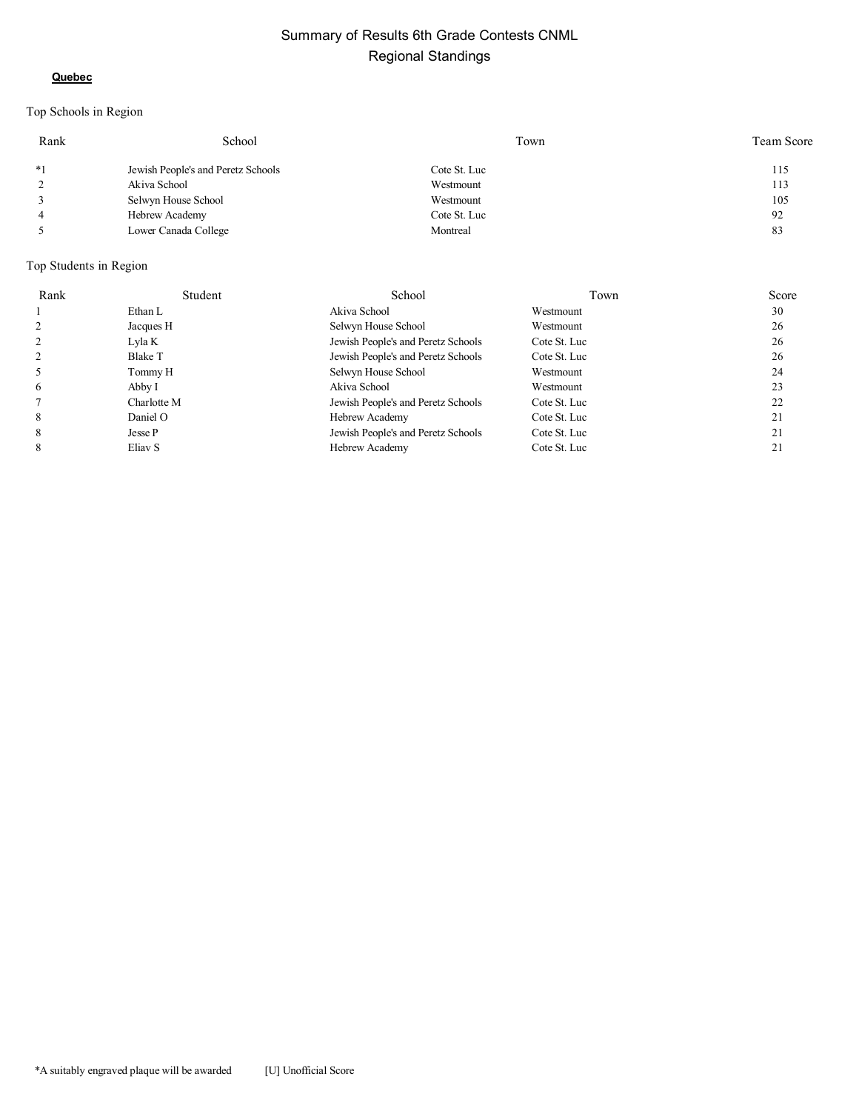#### **Quebec**

# Top Schools in Region

| Rank           | School                             | Town         | Team Score |
|----------------|------------------------------------|--------------|------------|
| $*1$           | Jewish People's and Peretz Schools | Cote St. Luc | 115        |
|                | Akiva School                       | Westmount    | 113        |
|                | Selwyn House School                | Westmount    | 105        |
| $\overline{4}$ | Hebrew Academy                     | Cote St. Luc | 92         |
|                | Lower Canada College               | Montreal     | 83         |

| Rank           | Student        | School                             | Town         | Score |
|----------------|----------------|------------------------------------|--------------|-------|
|                | Ethan L        | Akiva School                       | Westmount    | 30    |
| 2              | Jacques H      | Selwyn House School                | Westmount    | 26    |
| 2              | Lyla K         | Jewish People's and Peretz Schools | Cote St. Luc | 26    |
| $\overline{2}$ | <b>Blake T</b> | Jewish People's and Peretz Schools | Cote St. Luc | 26    |
| 5              | Tommy H        | Selwyn House School                | Westmount    | 24    |
| 6              | Abby I         | Akiva School                       | Westmount    | 23    |
|                | Charlotte M    | Jewish People's and Peretz Schools | Cote St. Luc | 22    |
| 8              | Daniel O       | Hebrew Academy                     | Cote St. Luc | 21    |
| 8              | Jesse P        | Jewish People's and Peretz Schools | Cote St. Luc | 21    |
| 8              | Eliav S        | Hebrew Academy                     | Cote St. Luc | 21    |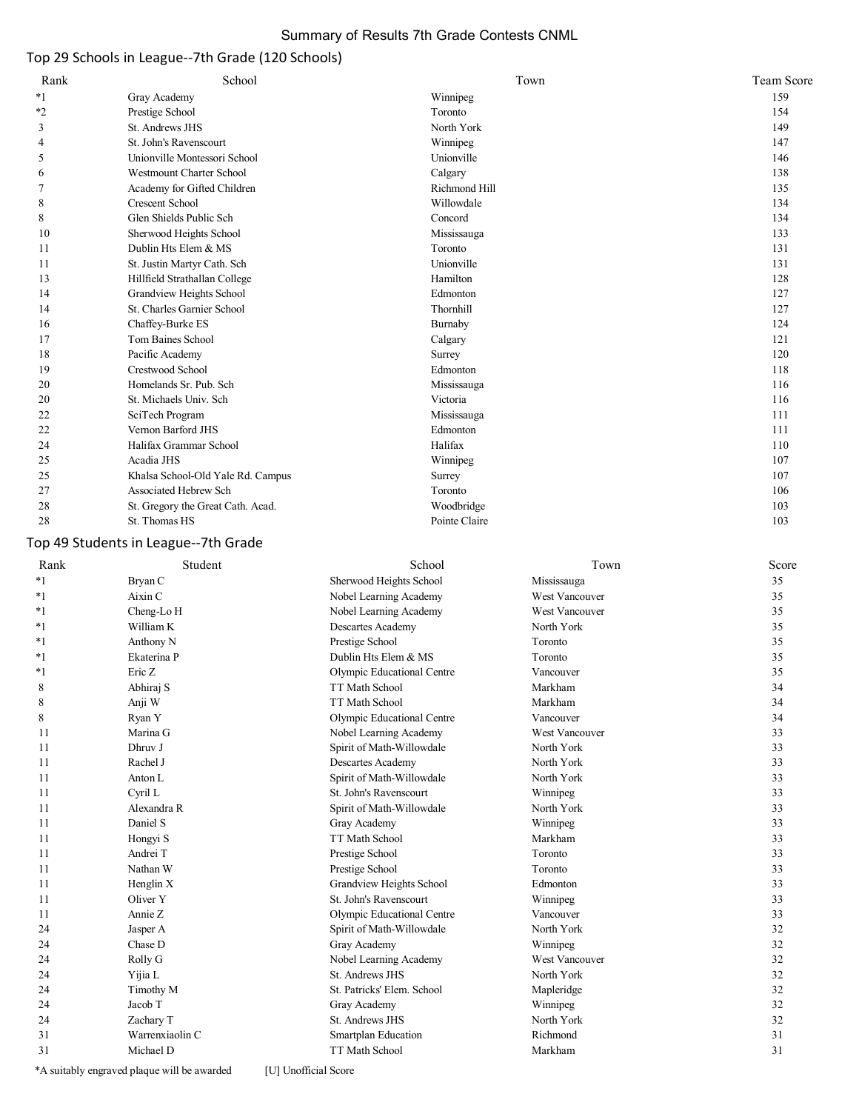# Summary of Results 7th Grade Contests CNML

# Top 29 Schools in League--7th Grade (120 Schools)

| Rank    | School                            | Town          | Team Score |
|---------|-----------------------------------|---------------|------------|
| $*_{1}$ | Gray Academy                      | Winnipeg      | 159        |
| $*2$    | Prestige School                   | Toronto       | 154        |
| 3       | St. Andrews JHS                   | North York    | 149        |
| 4       | St. John's Ravenscourt            | Winnipeg      | 147        |
| 5       | Unionville Montessori School      | Unionville    | 146        |
| 6       | <b>Westmount Charter School</b>   | Calgary       | 138        |
| 7       | Academy for Gifted Children       | Richmond Hill | 135        |
| 8       | <b>Crescent School</b>            | Willowdale    | 134        |
| 8       | Glen Shields Public Sch           | Concord       | 134        |
| 10      | Sherwood Heights School           | Mississauga   | 133        |
| 11      | Dublin Hts Elem & MS              | Toronto       | 131        |
| 11      | St. Justin Martyr Cath. Sch       | Unionville    | 131        |
| 13      | Hillfield Strathallan College     | Hamilton      | 128        |
| 14      | Grandview Heights School          | Edmonton      | 127        |
| 14      | St. Charles Garnier School        | Thornhill     | 127        |
| 16      | Chaffey-Burke ES                  | Burnaby       | 124        |
| 17      | Tom Baines School                 | Calgary       | 121        |
| 18      | Pacific Academy                   | Surrey        | 120        |
| 19      | Crestwood School                  | Edmonton      | 118        |
| 20      | Homelands Sr. Pub. Sch            | Mississauga   | 116        |
| 20      | St. Michaels Univ. Sch            | Victoria      | 116        |
| 22      | SciTech Program                   | Mississauga   | 111        |
| 22      | Vernon Barford JHS                | Edmonton      | 111        |
| 24      | Halifax Grammar School            | Halifax       | 110        |
| 25      | Acadia JHS                        | Winnipeg      | 107        |
| 25      | Khalsa School-Old Yale Rd. Campus | Surrey        | 107        |
| 27      | Associated Hebrew Sch             | Toronto       | 106        |
| 28      | St. Gregory the Great Cath. Acad. | Woodbridge    | 103        |
| 28      | St. Thomas HS                     | Pointe Claire | 103        |

# Top 49 Students in League--7th Grade

| Rank    | Student         | School                     | Town           | Score |
|---------|-----------------|----------------------------|----------------|-------|
| $*1$    | Bryan C         | Sherwood Heights School    | Mississauga    | 35    |
| $*_{1}$ | Aixin C         | Nobel Learning Academy     | West Vancouver | 35    |
| $*_{1}$ | Cheng-Lo H      | Nobel Learning Academy     | West Vancouver | 35    |
| $*1$    | William K       | Descartes Academy          | North York     | 35    |
| $*1$    | Anthony N       | Prestige School            | Toronto        | 35    |
| $*1$    | Ekaterina P     | Dublin Hts Elem & MS       | Toronto        | 35    |
| $*_{1}$ | Eric Z          | Olympic Educational Centre | Vancouver      | 35    |
| 8       | Abhiraj S       | <b>TT Math School</b>      | Markham        | 34    |
| 8       | Anji W          | <b>TT Math School</b>      | Markham        | 34    |
| 8       | Ryan Y          | Olympic Educational Centre | Vancouver      | 34    |
| 11      | Marina G        | Nobel Learning Academy     | West Vancouver | 33    |
| 11      | Dhruv J         | Spirit of Math-Willowdale  | North York     | 33    |
| 11      | Rachel J        | Descartes Academy          | North York     | 33    |
| 11      | Anton L         | Spirit of Math-Willowdale  | North York     | 33    |
| 11      | Cyril L         | St. John's Ravenscourt     | Winnipeg       | 33    |
| 11      | Alexandra R     | Spirit of Math-Willowdale  | North York     | 33    |
| 11      | Daniel S        | Gray Academy               | Winnipeg       | 33    |
| 11      | Hongyi S        | <b>TT Math School</b>      | Markham        | 33    |
| 11      | Andrei T        | Prestige School            | Toronto        | 33    |
| 11      | Nathan W        | Prestige School            | Toronto        | 33    |
| 11      | Henglin X       | Grandview Heights School   | Edmonton       | 33    |
| 11      | Oliver Y        | St. John's Ravenscourt     | Winnipeg       | 33    |
| 11      | Annie Z         | Olympic Educational Centre | Vancouver      | 33    |
| 24      | Jasper A        | Spirit of Math-Willowdale  | North York     | 32    |
| 24      | Chase D         | Gray Academy               | Winnipeg       | 32    |
| 24      | Rolly G         | Nobel Learning Academy     | West Vancouver | 32    |
| 24      | Yijia L         | St. Andrews JHS            | North York     | 32    |
| 24      | Timothy M       | St. Patricks' Elem. School | Mapleridge     | 32    |
| 24      | Jacob T         | Gray Academy               | Winnipeg       | 32    |
| 24      | Zachary T       | St. Andrews JHS            | North York     | 32    |
| 31      | Warrenxiaolin C | Smartplan Education        | Richmond       | 31    |
| 31      | Michael D       | TT Math School             | Markham        | 31    |
|         |                 |                            |                |       |

\*A suitably engraved plaque will be awarded [U] Unofficial Score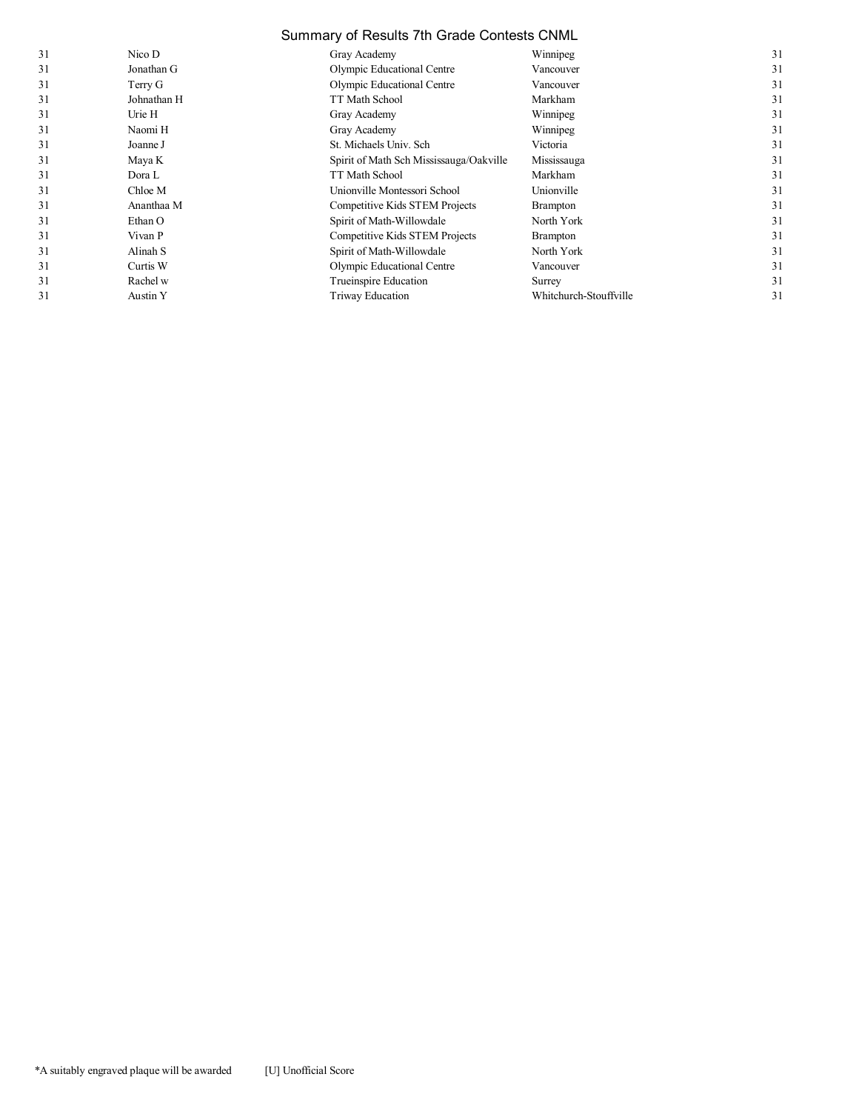# Summary of Results 7th Grade Contests CNML

| 31 | Nico D      | Gray Academy                            | Winnipeg               | 31 |
|----|-------------|-----------------------------------------|------------------------|----|
| 31 | Jonathan G  | Olympic Educational Centre              | Vancouver              | 31 |
| 31 | Terry G     | Olympic Educational Centre              | Vancouver              | 31 |
| 31 | Johnathan H | TT Math School                          | Markham                | 31 |
| 31 | Urie H      | Gray Academy                            | Winnipeg               | 31 |
| 31 | Naomi H     | Gray Academy                            | Winnipeg               | 31 |
| 31 | Joanne J    | St. Michaels Univ. Sch                  | Victoria               | 31 |
| 31 | Maya K      | Spirit of Math Sch Mississauga/Oakville | Mississauga            | 31 |
| 31 | Dora L      | TT Math School                          | Markham                | 31 |
| 31 | Chloe M     | Unionville Montessori School            | Unionville             | 31 |
| 31 | Ananthaa M  | Competitive Kids STEM Projects          | <b>Brampton</b>        | 31 |
| 31 | Ethan O     | Spirit of Math-Willowdale               | North York             | 31 |
| 31 | Vivan P     | Competitive Kids STEM Projects          | <b>Brampton</b>        | 31 |
| 31 | Alinah S    | Spirit of Math-Willowdale               | North York             | 31 |
| 31 | Curtis W    | Olympic Educational Centre              | Vancouver              | 31 |
| 31 | Rachel w    | Trueinspire Education                   | Surrey                 | 31 |
| 31 | Austin Y    | Triway Education                        | Whitchurch-Stouffville | 31 |
|    |             |                                         |                        |    |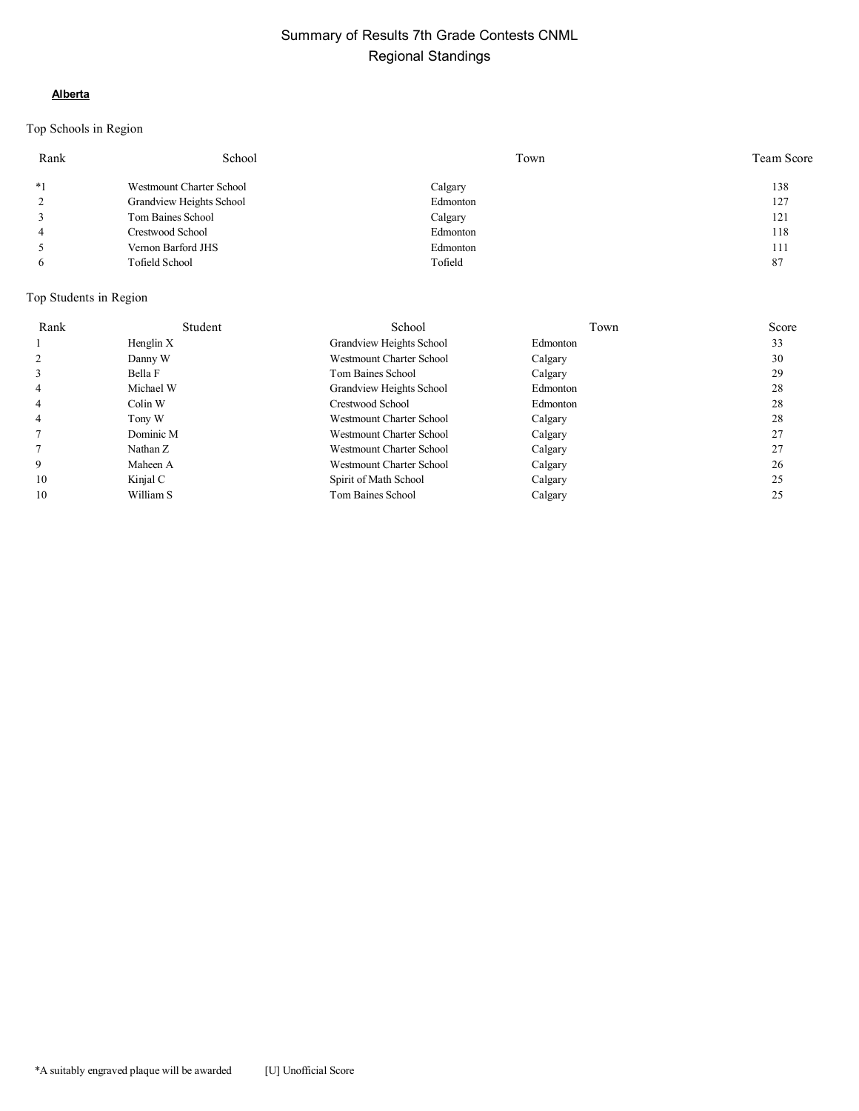### **Alberta**

# Top Schools in Region

| Rank           | School                          | Town     | Team Score |
|----------------|---------------------------------|----------|------------|
| $*1$           | <b>Westmount Charter School</b> | Calgary  | 138        |
| 2              | Grandview Heights School        | Edmonton | 127        |
| $\overline{3}$ | Tom Baines School               | Calgary  | 121        |
| $\overline{4}$ | Crestwood School                | Edmonton | 118        |
| 5              | Vernon Barford JHS              | Edmonton | 111        |
| 6              | <b>Tofield School</b>           | Tofield  | 87         |

| Rank | Student   | School                   | Town     | Score |
|------|-----------|--------------------------|----------|-------|
|      | Henglin X | Grandview Heights School | Edmonton | 33    |
|      | Danny W   | Westmount Charter School | Calgary  | 30    |
|      | Bella F   | Tom Baines School        | Calgary  | 29    |
| 4    | Michael W | Grandview Heights School | Edmonton | 28    |
| 4    | Colin W   | Crestwood School         | Edmonton | 28    |
| 4    | Tony W    | Westmount Charter School | Calgary  | 28    |
|      | Dominic M | Westmount Charter School | Calgary  | 27    |
|      | Nathan Z  | Westmount Charter School | Calgary  | 27    |
| 9    | Maheen A  | Westmount Charter School | Calgary  | 26    |
| 10   | Kinjal C  | Spirit of Math School    | Calgary  | 25    |
| 10   | William S | Tom Baines School        | Calgary  | 25    |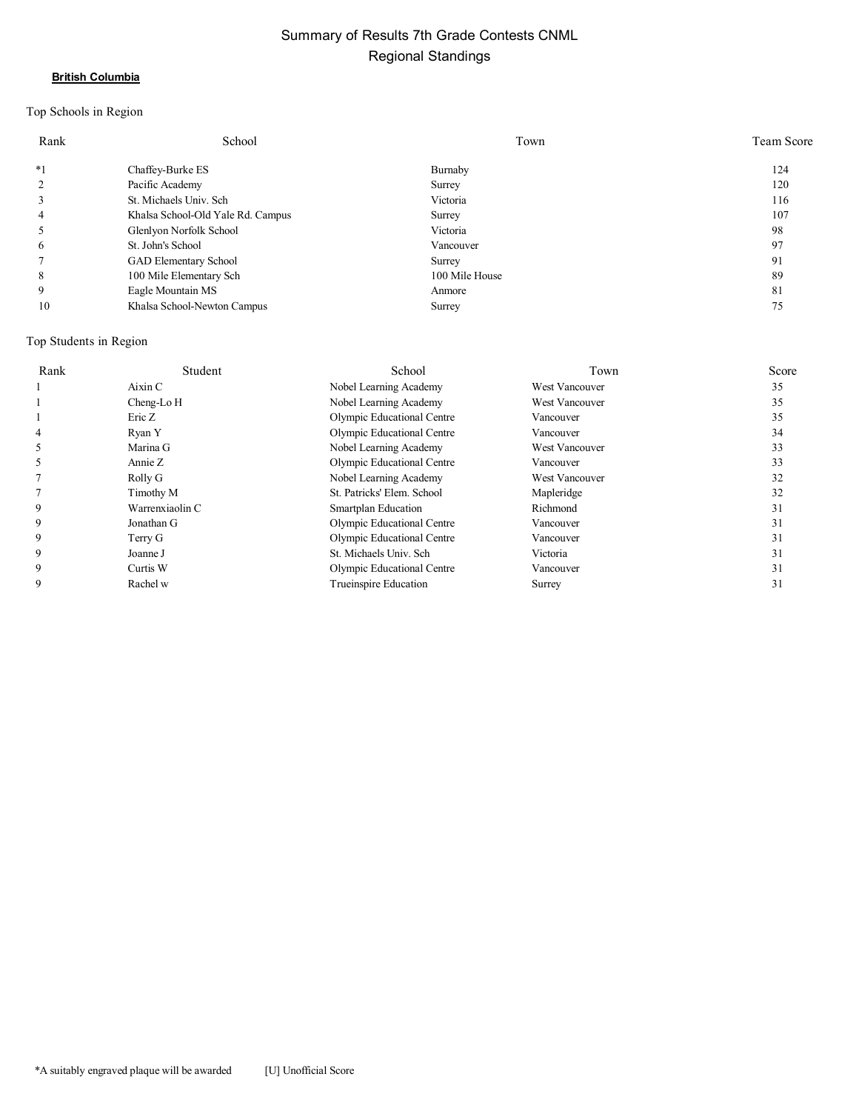#### **British Columbia**

# Top Schools in Region

| Rank | School                            | Town           | <b>Team Score</b> |
|------|-----------------------------------|----------------|-------------------|
| $*1$ | Chaffey-Burke ES                  | Burnaby        | 124               |
| 2    | Pacific Academy                   | Surrey         | 120               |
| 3    | St. Michaels Univ. Sch            | Victoria       | 116               |
| 4    | Khalsa School-Old Yale Rd. Campus | Surrey         | 107               |
| 5    | Glenlyon Norfolk School           | Victoria       | 98                |
| 6    | St. John's School                 | Vancouver      | 97                |
|      | GAD Elementary School             | Surrey         | 91                |
| 8    | 100 Mile Elementary Sch           | 100 Mile House | 89                |
| 9    | Eagle Mountain MS                 | Anmore         | 81                |
| 10   | Khalsa School-Newton Campus       | Surrey         | 75                |

| Rank | Student         | School                     | Town                  | Score |
|------|-----------------|----------------------------|-----------------------|-------|
|      | Aixin C         | Nobel Learning Academy     | West Vancouver        | 35    |
|      | Cheng-Lo H      | Nobel Learning Academy     | West Vancouver        | 35    |
|      | Eric Z          | Olympic Educational Centre | Vancouver             | 35    |
|      | Ryan Y          | Olympic Educational Centre | Vancouver             | 34    |
|      | Marina G        | Nobel Learning Academy     | West Vancouver        | 33    |
|      | Annie Z         | Olympic Educational Centre | Vancouver             | 33    |
|      | Rolly G         | Nobel Learning Academy     | <b>West Vancouver</b> | 32    |
|      | Timothy M       | St. Patricks' Elem. School | Mapleridge            | 32    |
| 9    | Warrenxiaolin C | Smartplan Education        | Richmond              | 31    |
| 9    | Jonathan G      | Olympic Educational Centre | Vancouver             | 31    |
| 9    | Terry G         | Olympic Educational Centre | Vancouver             | 31    |
| 9    | Joanne J        | St. Michaels Univ. Sch     | Victoria              | 31    |
| 9    | Curtis W        | Olympic Educational Centre | Vancouver             | 31    |
| 9    | Rachel w        | Trueinspire Education      | Surrey                | 31    |
|      |                 |                            |                       |       |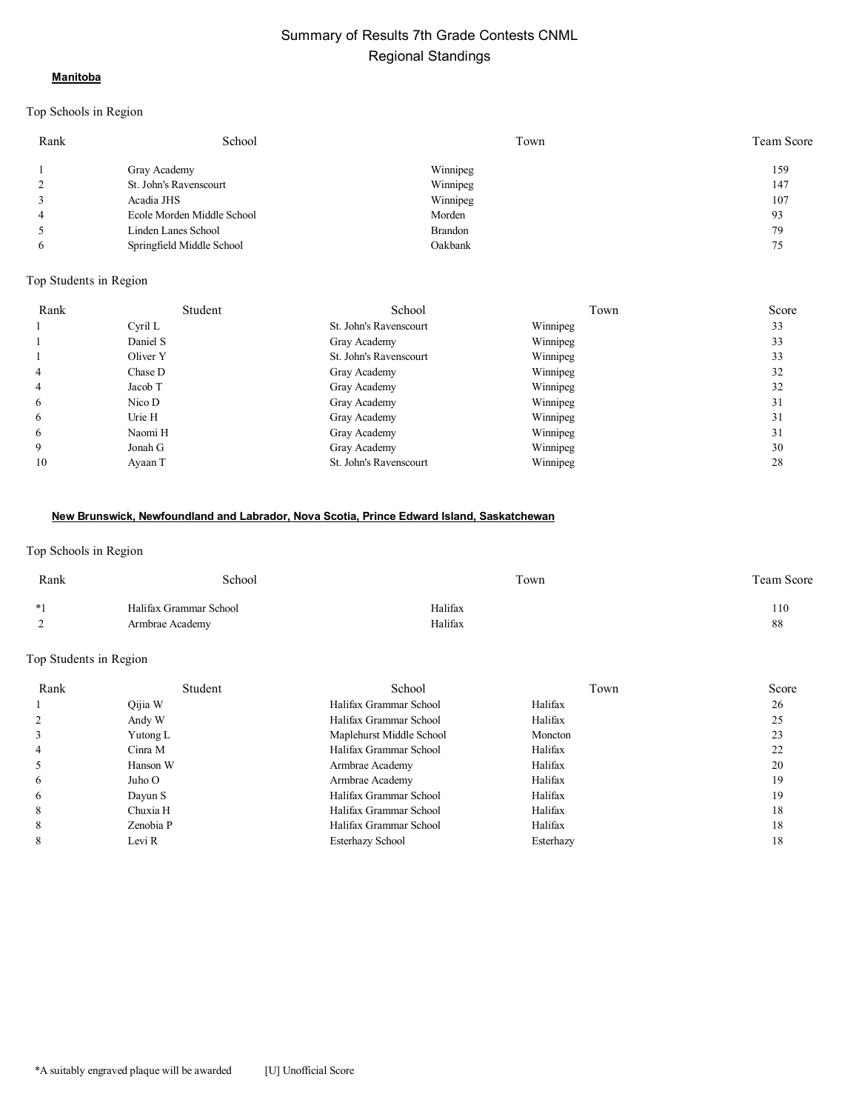#### **Manitoba**

#### Top Schools in Region

| Rank | School                     | Town     | Team Score |
|------|----------------------------|----------|------------|
|      | Gray Academy               | Winnipeg | 159        |
|      | St. John's Ravenscourt     | Winnipeg | 147        |
|      | Acadia JHS                 | Winnipeg | 107        |
|      | Ecole Morden Middle School | Morden   | 93         |
|      | Linden Lanes School        | Brandon  | 79         |
| 6    | Springfield Middle School  | Oakbank  |            |

#### Top Students in Region

| Rank           | Student  | School                 | Town     | Score |
|----------------|----------|------------------------|----------|-------|
|                | Cyril L  | St. John's Ravenscourt | Winnipeg | 33    |
|                | Daniel S | Gray Academy           | Winnipeg | 33    |
|                | Oliver Y | St. John's Ravenscourt | Winnipeg | 33    |
| $\overline{4}$ | Chase D  | Gray Academy           | Winnipeg | 32    |
| $\overline{4}$ | Jacob T  | Gray Academy           | Winnipeg | 32    |
| 6              | Nico D   | Gray Academy           | Winnipeg | 31    |
| 6              | Urie H   | Gray Academy           | Winnipeg | 31    |
| 6              | Naomi H  | Gray Academy           | Winnipeg | 31    |
| 9              | Jonah G  | Gray Academy           | Winnipeg | 30    |
| 10             | Ayaan T  | St. John's Ravenscourt | Winnipeg | 28    |

#### **New Brunswick, Newfoundland and Labrador, Nova Scotia, Prince Edward Island, Saskatchewan**

#### Top Schools in Region

| Rank        | School                 | Town    | <b>Team Score</b> |
|-------------|------------------------|---------|-------------------|
| $*1$        | Halifax Grammar School | Halifax | 110               |
| $\sim$<br>- | Armbrae Academy        | Halifax | 88                |

| Rank     | Student   | School                   | Town      | Score |
|----------|-----------|--------------------------|-----------|-------|
|          | Qijia W   | Halifax Grammar School   | Halifax   | 26    |
|          | Andy W    | Halifax Grammar School   | Halifax   | 25    |
|          | Yutong L  | Maplehurst Middle School | Moncton   | 23    |
|          | Cinra M   | Halifax Grammar School   | Halifax   | 22    |
|          | Hanson W  | Armbrae Academy          | Halifax   | 20    |
| $\sigma$ | Juho O    | Armbrae Academy          | Halifax   | 19    |
| $\sigma$ | Dayun S   | Halifax Grammar School   | Halifax   | 19    |
| 8        | Chuxia H  | Halifax Grammar School   | Halifax   | 18    |
| 8        | Zenobia P | Halifax Grammar School   | Halifax   | 18    |
|          | Levi R    | Esterhazy School         | Esterhazy | 18    |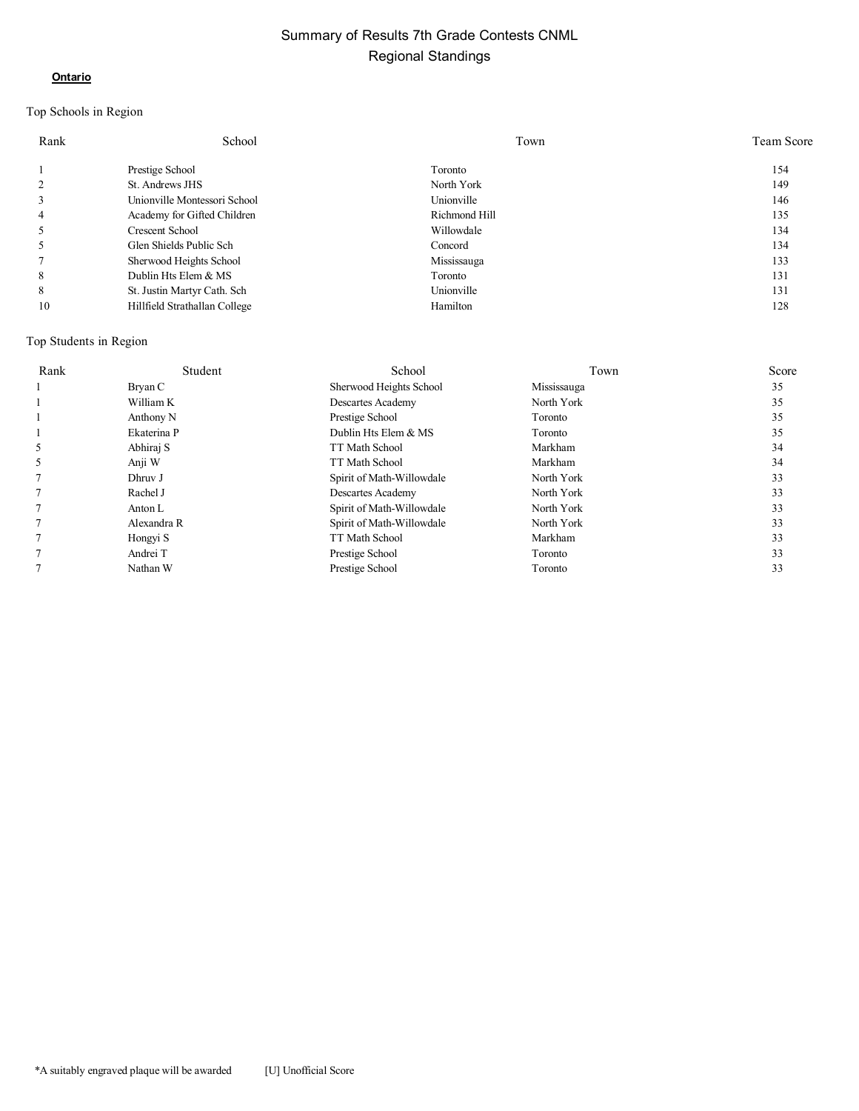#### **Ontario**

# Top Schools in Region

| Rank           | School                        | Town          | <b>Team Score</b> |
|----------------|-------------------------------|---------------|-------------------|
|                | Prestige School               | Toronto       | 154               |
| $\overline{c}$ | St. Andrews JHS               | North York    | 149               |
| 3              | Unionville Montessori School  | Unionville    | 146               |
| 4              | Academy for Gifted Children   | Richmond Hill | 135               |
|                | Crescent School               | Willowdale    | 134               |
| 5              | Glen Shields Public Sch       | Concord       | 134               |
|                | Sherwood Heights School       | Mississauga   | 133               |
| 8              | Dublin Hts Elem & MS          | Toronto       | 131               |
| 8              | St. Justin Martyr Cath. Sch   | Unionville    | 131               |
| 10             | Hillfield Strathallan College | Hamilton      | 128               |

| Rank | Student     | School                    | Town           | Score |
|------|-------------|---------------------------|----------------|-------|
|      | Bryan C     | Sherwood Heights School   | Mississauga    | 35    |
|      | William K   | Descartes Academy         | North York     | 35    |
|      | Anthony N   | Prestige School           | <b>Toronto</b> | 35    |
|      | Ekaterina P | Dublin Hts Elem & MS      | Toronto        | 35    |
|      | Abhiraj S   | <b>TT Math School</b>     | Markham        | 34    |
|      | Anji W      | <b>TT Math School</b>     | Markham        | 34    |
|      | Dhruv J     | Spirit of Math-Willowdale | North York     | 33    |
|      | Rachel J    | <b>Descartes Academy</b>  | North York     | 33    |
|      | Anton L     | Spirit of Math-Willowdale | North York     | 33    |
|      | Alexandra R | Spirit of Math-Willowdale | North York     | 33    |
|      | Hongyi S    | <b>TT Math School</b>     | Markham        | 33    |
|      | Andrei T    | Prestige School           | Toronto        | 33    |
|      | Nathan W    | Prestige School           | Toronto        | 33    |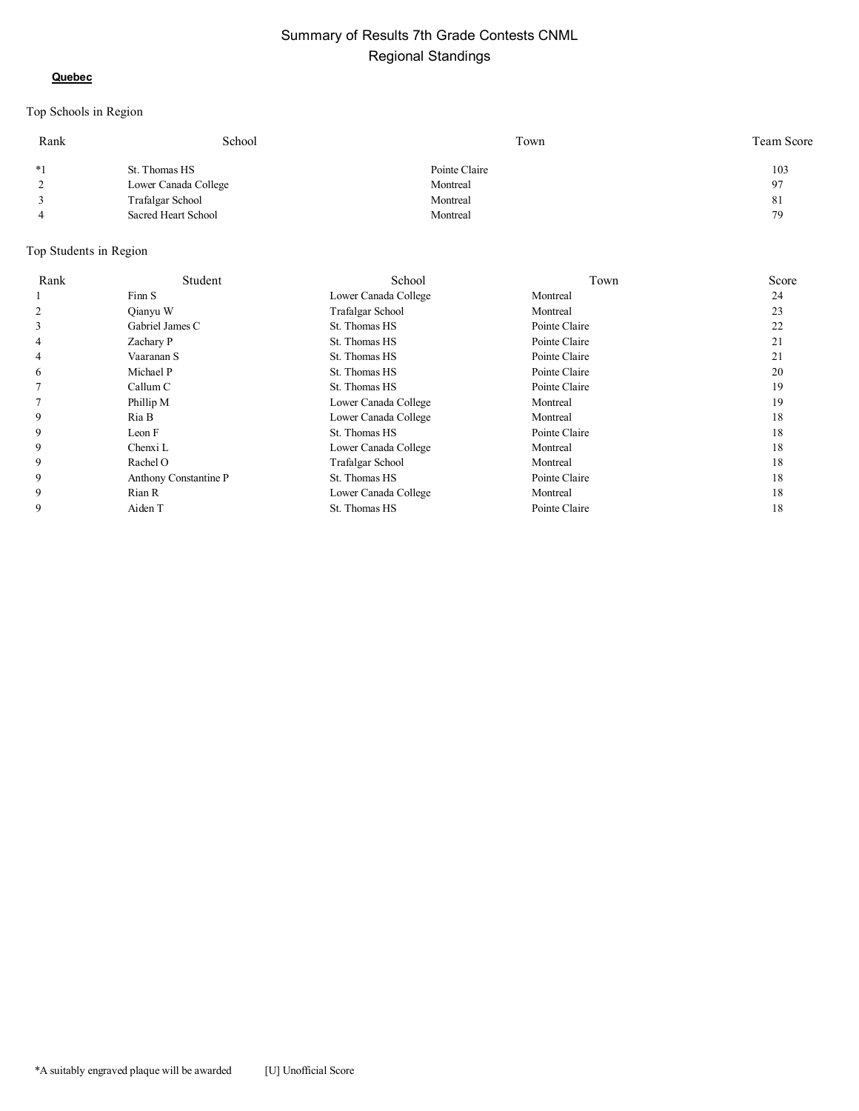#### **Quebec**

# Top Schools in Region

| Rank           | School               | Town          | Team Score |
|----------------|----------------------|---------------|------------|
| $*1$           | St. Thomas HS        | Pointe Claire | 103        |
| 2              | Lower Canada College | Montreal      | 97         |
|                | Trafalgar School     | Montreal      | 81         |
| $\overline{4}$ | Sacred Heart School  | Montreal      | 79         |

| Rank | Student               | School               | Town          | Score |
|------|-----------------------|----------------------|---------------|-------|
|      | Finn S                | Lower Canada College | Montreal      | 24    |
| 2    | Oianyu W              | Trafalgar School     | Montreal      | 23    |
| 3    | Gabriel James C       | St. Thomas HS        | Pointe Claire | 22    |
| 4    | Zachary P             | St. Thomas HS        | Pointe Claire | 21    |
| 4    | Vaaranan S            | St. Thomas HS        | Pointe Claire | 21    |
| 6    | Michael P             | St. Thomas HS        | Pointe Claire | 20    |
|      | Callum C              | St. Thomas HS        | Pointe Claire | 19    |
|      | Phillip M             | Lower Canada College | Montreal      | 19    |
| 9    | Ria B                 | Lower Canada College | Montreal      | 18    |
| 9    | Leon F                | St. Thomas HS        | Pointe Claire | 18    |
| 9    | Chenxi L              | Lower Canada College | Montreal      | 18    |
| 9    | Rachel O              | Trafalgar School     | Montreal      | 18    |
| 9    | Anthony Constantine P | St. Thomas HS        | Pointe Claire | 18    |
| 9    | Rian R                | Lower Canada College | Montreal      | 18    |
| 9    | Aiden T               | St. Thomas HS        | Pointe Claire | 18    |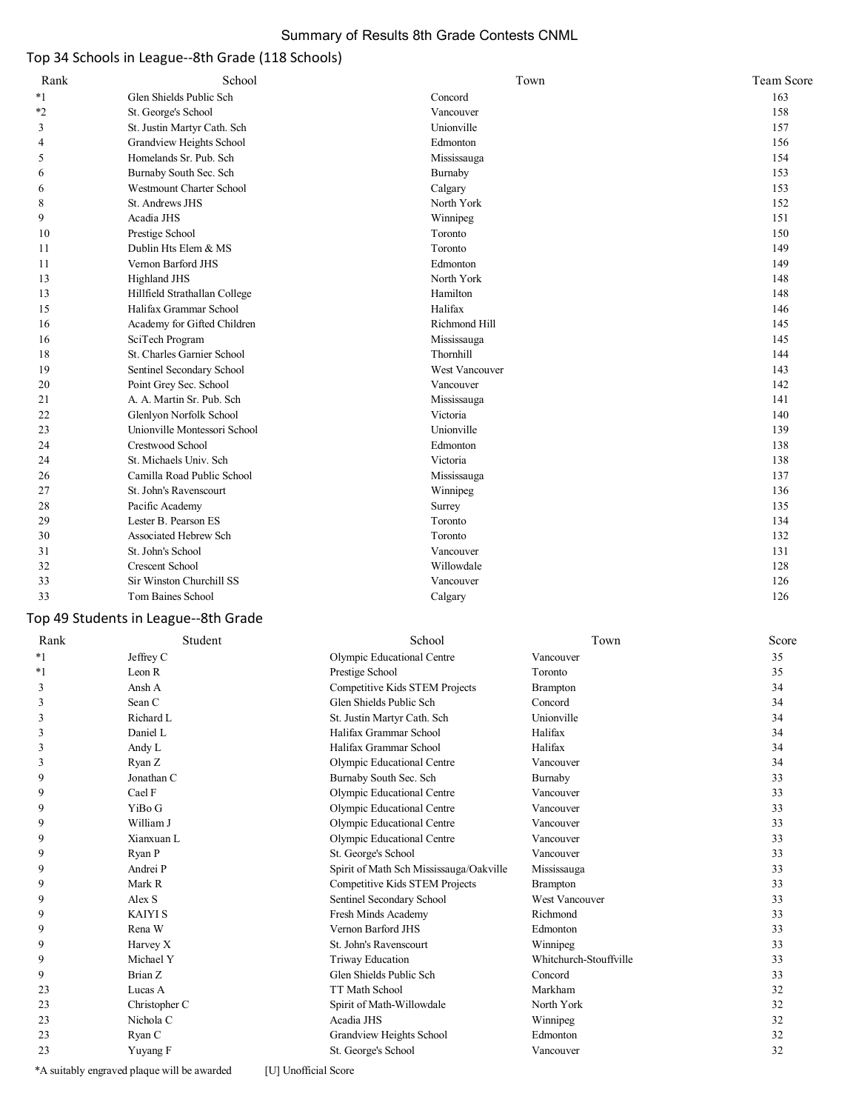# Summary of Results 8th Grade Contests CNML

#### Top 34 Schools in League--8th Grade (118 Schools)

| Rank           | School                                        |                                         | Town            | Team Score |
|----------------|-----------------------------------------------|-----------------------------------------|-----------------|------------|
| $*_{1}$        | Glen Shields Public Sch                       | Concord                                 |                 | 163        |
| *2             | St. George's School                           | Vancouver                               |                 | 158        |
| 3              | St. Justin Martyr Cath. Sch                   | Unionville                              |                 | 157        |
| $\overline{4}$ | Grandview Heights School                      | Edmonton                                |                 | 156        |
| 5              | Homelands Sr. Pub. Sch                        | Mississauga                             |                 | 154        |
| 6              | Burnaby South Sec. Sch                        | Burnaby                                 |                 | 153        |
| 6              | Westmount Charter School                      | Calgary                                 |                 | 153        |
| 8              | St. Andrews JHS                               | North York                              |                 | 152        |
| 9              | Acadia JHS                                    | Winnipeg                                |                 | 151        |
| 10             | Prestige School                               | Toronto                                 |                 | 150        |
| 11             | Dublin Hts Elem & MS                          | Toronto                                 |                 | 149        |
| 11             | Vernon Barford JHS                            | Edmonton                                |                 | 149        |
| 13             | <b>Highland JHS</b>                           | North York                              |                 | 148        |
| 13             | Hillfield Strathallan College                 | Hamilton                                |                 | 148        |
| 15             | Halifax Grammar School                        | Halifax                                 |                 | 146        |
| 16             | Academy for Gifted Children                   | Richmond Hill                           |                 | 145        |
| 16             |                                               |                                         |                 | 145        |
|                | SciTech Program<br>St. Charles Garnier School | Mississauga<br>Thornhill                |                 | 144        |
| 18             |                                               | West Vancouver                          |                 |            |
| 19             | Sentinel Secondary School                     |                                         |                 | 143        |
| 20             | Point Grey Sec. School                        | Vancouver                               |                 | 142        |
| 21             | A. A. Martin Sr. Pub. Sch                     | Mississauga                             |                 | 141        |
| 22             | Glenlyon Norfolk School                       | Victoria                                |                 | 140        |
| 23             | Unionville Montessori School                  | Unionville                              |                 | 139        |
| 24             | Crestwood School                              | Edmonton                                |                 | 138        |
| 24             | St. Michaels Univ. Sch                        | Victoria                                |                 | 138        |
| 26             | Camilla Road Public School                    | Mississauga                             |                 | 137        |
| 27             | St. John's Ravenscourt                        | Winnipeg                                |                 | 136        |
| 28             | Pacific Academy                               | Surrey                                  |                 | 135        |
| 29             | Lester B. Pearson ES                          | Toronto                                 |                 | 134        |
| 30             | Associated Hebrew Sch                         | Toronto                                 |                 | 132        |
| 31             | St. John's School                             | Vancouver                               |                 | 131        |
| 32             | Crescent School                               | Willowdale                              |                 | 128        |
| 33             | Sir Winston Churchill SS                      | Vancouver                               |                 | 126        |
| 33             | Tom Baines School                             | Calgary                                 |                 | 126        |
|                | Top 49 Students in League--8th Grade          |                                         |                 |            |
| Rank           | Student                                       | School                                  | Town            | Score      |
| $^*1$          | Jeffrey C                                     | Olympic Educational Centre              | Vancouver       | 35         |
| $^*1$          | Leon R                                        | Prestige School                         | Toronto         | 35         |
| 3              | Ansh A                                        | Competitive Kids STEM Projects          | <b>Brampton</b> | 34         |
| 3              | Sean C                                        | Glen Shields Public Sch                 | Concord         | 34         |
| 3              | Richard L                                     | St. Justin Martyr Cath. Sch             | Unionville      | 34         |
| 3              | Daniel L                                      | Halifax Grammar School                  | Halifax         | 34         |
| 3              | Andy L                                        | Halifax Grammar School                  | Halifax         | 34         |
| 3              | Ryan Z                                        | Olympic Educational Centre              | Vancouver       | 34         |
| 9              | Jonathan C                                    | Burnaby South Sec. Sch                  | Burnaby         | 33         |
| 9              | Cael F                                        | Olympic Educational Centre              | Vancouver       | 33         |
| 9              | YiBo G                                        | Olympic Educational Centre              | Vancouver       | 33         |
| 9              | William J                                     | Olympic Educational Centre              | Vancouver       | 33         |
| 9              | Xianxuan L                                    | Olympic Educational Centre              | Vancouver       | 33         |
| 9              | Ryan P                                        | St. George's School                     | Vancouver       | 33         |
| 9              | Andrei P                                      | Spirit of Math Sch Mississauga/Oakville | Mississauga     | 33         |
| 9              | Mark R                                        | Competitive Kids STEM Projects          | <b>Brampton</b> | 33         |
| 9              | Alex S                                        | Sentinel Secondary School               | West Vancouver  | 33         |
| 9              | <b>KAIYI S</b>                                | Fresh Minds Academy                     | Richmond        | 33         |
| 9              | Rena W                                        | Vernon Barford JHS                      | Edmonton        | 33         |

 9 Harvey X St. John's Ravenscourt Winnipeg 33 9 Michael Y Triway Education Whitchurch-Stouffville 33 9 Brian Z Glen Shields Public Sch Concord 33 23 Lucas A Contract Contract Contract Contract Contract Contract Contract Contract Contract Contract Contract Contract Contract Contract Contract Contract Contract Contract Contract Contract Contract Contract Contract Cont 23 Christopher C Spirit of Math-Willowdale North York 32<br>23 Nichola C Acadia JHS Winnipeg 32 23 Nichola C Acadia JHS Ninnipeg 32 23 Ryan C Grandview Heights School Edmonton 32 23 Yuyang F St. George's School Vancouver 32

\*A suitably engraved plaque will be awarded [U] Unofficial Score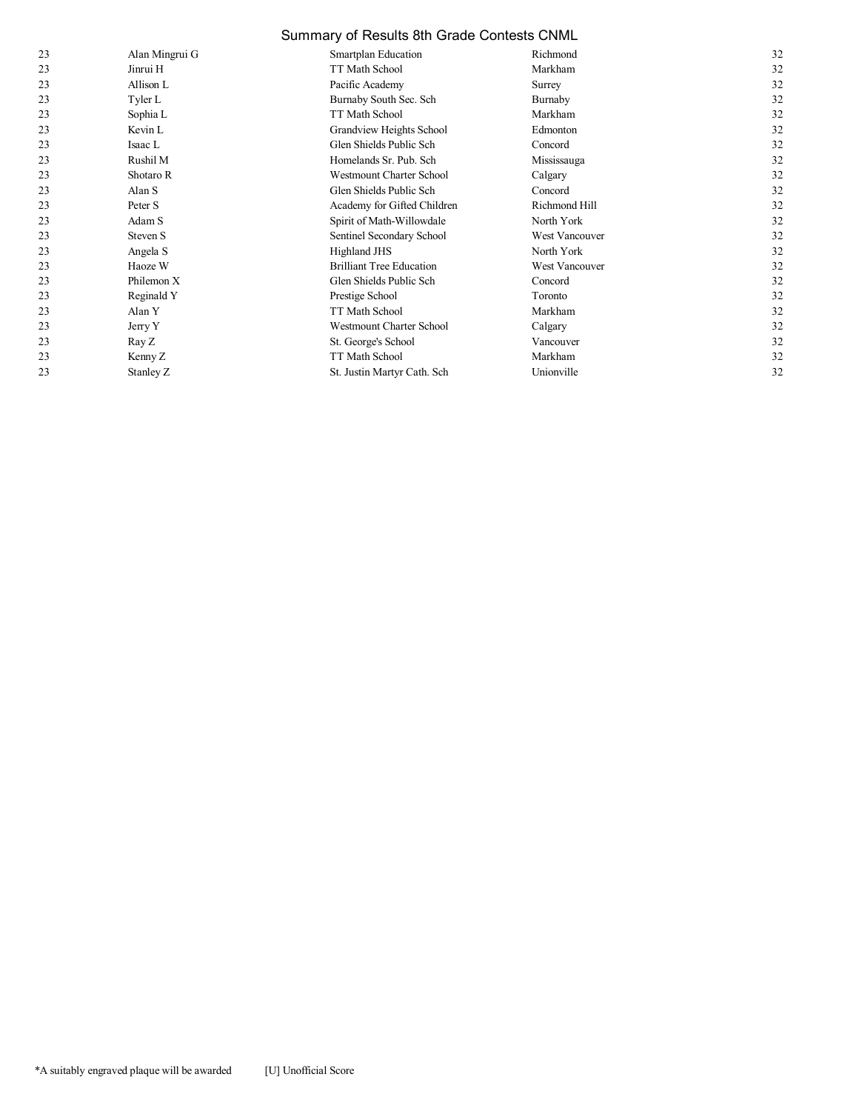|    | Summary of Results 8th Grade Contests CNML |                                 |                       |    |
|----|--------------------------------------------|---------------------------------|-----------------------|----|
| 23 | Alan Mingrui G                             | Smartplan Education             | Richmond              | 32 |
| 23 | Jinrui H                                   | TT Math School                  | Markham               | 32 |
| 23 | Allison L                                  | Pacific Academy                 | Surrey                | 32 |
| 23 | Tyler L                                    | Burnaby South Sec. Sch          | Burnaby               | 32 |
| 23 | Sophia L                                   | TT Math School                  | Markham               | 32 |
| 23 | Kevin L                                    | Grandview Heights School        | Edmonton              | 32 |
| 23 | Isaac L                                    | Glen Shields Public Sch         | Concord               | 32 |
| 23 | Rushil M                                   | Homelands Sr. Pub. Sch          | Mississauga           | 32 |
| 23 | Shotaro R                                  | Westmount Charter School        | Calgary               | 32 |
| 23 | Alan S                                     | Glen Shields Public Sch         | Concord               | 32 |
| 23 | Peter S                                    | Academy for Gifted Children     | Richmond Hill         | 32 |
| 23 | Adam S                                     | Spirit of Math-Willowdale       | North York            | 32 |
| 23 | Steven S                                   | Sentinel Secondary School       | <b>West Vancouver</b> | 32 |
| 23 | Angela S                                   | <b>Highland JHS</b>             | North York            | 32 |
| 23 | Haoze W                                    | <b>Brilliant Tree Education</b> | <b>West Vancouver</b> | 32 |
| 23 | Philemon X                                 | Glen Shields Public Sch         | Concord               | 32 |
| 23 | Reginald Y                                 | Prestige School                 | Toronto               | 32 |
| 23 | Alan Y                                     | <b>TT Math School</b>           | Markham               | 32 |
| 23 | Jerry Y                                    | <b>Westmount Charter School</b> | Calgary               | 32 |
| 23 | Ray Z                                      | St. George's School             | Vancouver             | 32 |
| 23 | Kenny Z                                    | TT Math School                  | Markham               | 32 |
| 23 | Stanley Z                                  | St. Justin Martyr Cath. Sch     | Unionville            | 32 |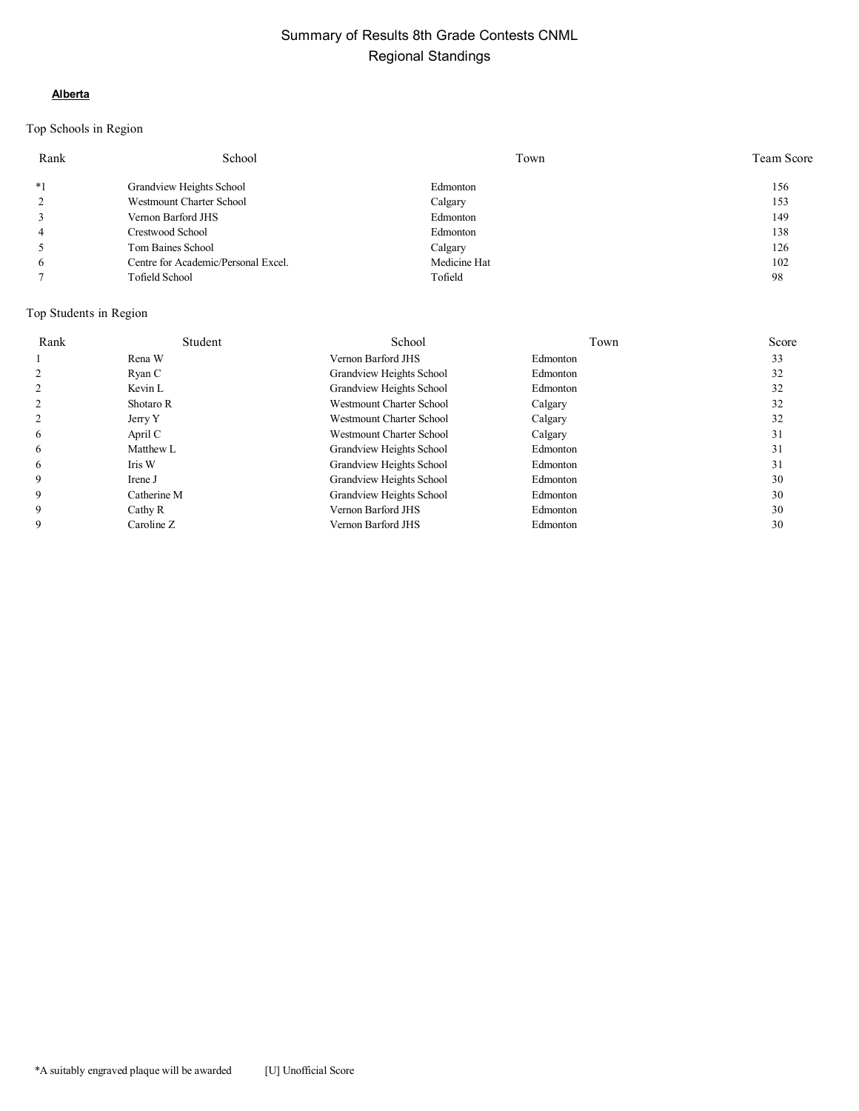#### **Alberta**

# Top Schools in Region

| Rank           | School                              | Town         | Team Score |
|----------------|-------------------------------------|--------------|------------|
| $*1$           | Grandview Heights School            | Edmonton     | 156        |
| 2              | Westmount Charter School            | Calgary      | 153        |
| 3              | Vernon Barford JHS                  | Edmonton     | 149        |
| $\overline{4}$ | Crestwood School                    | Edmonton     | 138        |
| 5              | Tom Baines School                   | Calgary      | 126        |
| 6              | Centre for Academic/Personal Excel. | Medicine Hat | 102        |
|                | Tofield School                      | Tofield      | 98         |

| Rank | Student     | School                          | Town     | Score |
|------|-------------|---------------------------------|----------|-------|
|      | Rena W      | Vernon Barford JHS              | Edmonton | 33    |
|      | Ryan C      | Grandview Heights School        | Edmonton | 32    |
|      | Kevin L     | Grandview Heights School        | Edmonton | 32    |
|      | Shotaro R   | <b>Westmount Charter School</b> | Calgary  | 32    |
|      | Jerry Y     | <b>Westmount Charter School</b> | Calgary  | 32    |
| 6    | April C     | Westmount Charter School        | Calgary  | 31    |
| 6    | Matthew L   | Grandview Heights School        | Edmonton | 31    |
| 6    | Iris W      | Grandview Heights School        | Edmonton | 31    |
| 9    | Irene J     | Grandview Heights School        | Edmonton | 30    |
| 9    | Catherine M | Grandview Heights School        | Edmonton | 30    |
| 9    | Cathy R     | Vernon Barford JHS              | Edmonton | 30    |
| 9    | Caroline Z  | Vernon Barford JHS              | Edmonton | 30    |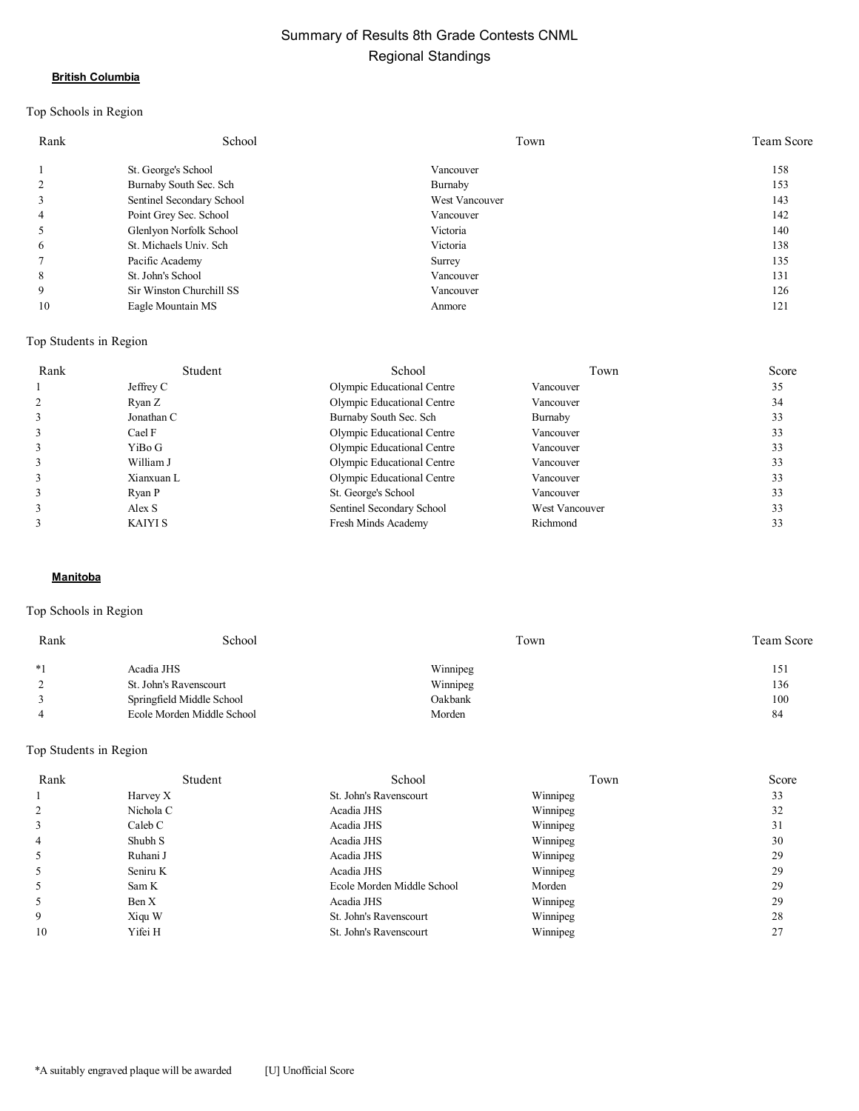#### **British Columbia**

# Top Schools in Region

| Rank | School                    | Town           | Team Score |
|------|---------------------------|----------------|------------|
|      | St. George's School       | Vancouver      | 158        |
|      | Burnaby South Sec. Sch    | Burnaby        | 153        |
|      | Sentinel Secondary School | West Vancouver | 143        |
| 4    | Point Grey Sec. School    | Vancouver      | 142        |
|      | Glenlyon Norfolk School   | Victoria       | 140        |
| 6    | St. Michaels Univ. Sch    | Victoria       | 138        |
|      | Pacific Academy           | Surrey         | 135        |
| 8    | St. John's School         | Vancouver      | 131        |
| 9    | Sir Winston Churchill SS  | Vancouver      | 126        |
| 10   | Eagle Mountain MS         | Anmore         | 121        |

#### Top Students in Region

| Rank | Student    | School                     | Town           | Score |
|------|------------|----------------------------|----------------|-------|
|      | Jeffrey C  | Olympic Educational Centre | Vancouver      | 35    |
|      | Ryan Z     | Olympic Educational Centre | Vancouver      | 34    |
|      | Jonathan C | Burnaby South Sec. Sch     | Burnaby        | 33    |
|      | Cael F     | Olympic Educational Centre | Vancouver      | 33    |
|      | YiBo G     | Olympic Educational Centre | Vancouver      | 33    |
|      | William J  | Olympic Educational Centre | Vancouver      | 33    |
|      | Xianxuan L | Olympic Educational Centre | Vancouver      | 33    |
|      | Ryan P     | St. George's School        | Vancouver      | 33    |
|      | Alex S     | Sentinel Secondary School  | West Vancouver | 33    |
|      | KAIYI S    | Fresh Minds Academy        | Richmond       | 33    |

#### **Manitoba**

# Top Schools in Region

| Rank | School                     | Town     | Team Score |
|------|----------------------------|----------|------------|
| $*1$ | Acadia JHS                 | Winnipeg | 151        |
|      | St. John's Ravenscourt     | Winnipeg | 136        |
|      | Springfield Middle School  | Oakbank  | 100        |
|      | Ecole Morden Middle School | Morden   | 84         |

| Rank | Student   | School                     | Town     | Score |
|------|-----------|----------------------------|----------|-------|
|      | Harvey X  | St. John's Ravenscourt     | Winnipeg | 33    |
|      | Nichola C | Acadia JHS                 | Winnipeg | 32    |
| 3    | Caleb C   | Acadia JHS                 | Winnipeg | 31    |
| 4    | Shubh S   | Acadia JHS                 | Winnipeg | 30    |
|      | Ruhani J  | Acadia JHS                 | Winnipeg | 29    |
| 5    | Seniru K  | Acadia JHS                 | Winnipeg | 29    |
|      | Sam K     | Ecole Morden Middle School | Morden   | 29    |
|      | Ben X     | Acadia JHS                 | Winnipeg | 29    |
| 9    | Xiqu W    | St. John's Ravenscourt     | Winnipeg | 28    |
| 10   | Yifei H   | St. John's Ravenscourt     | Winnipeg | 27    |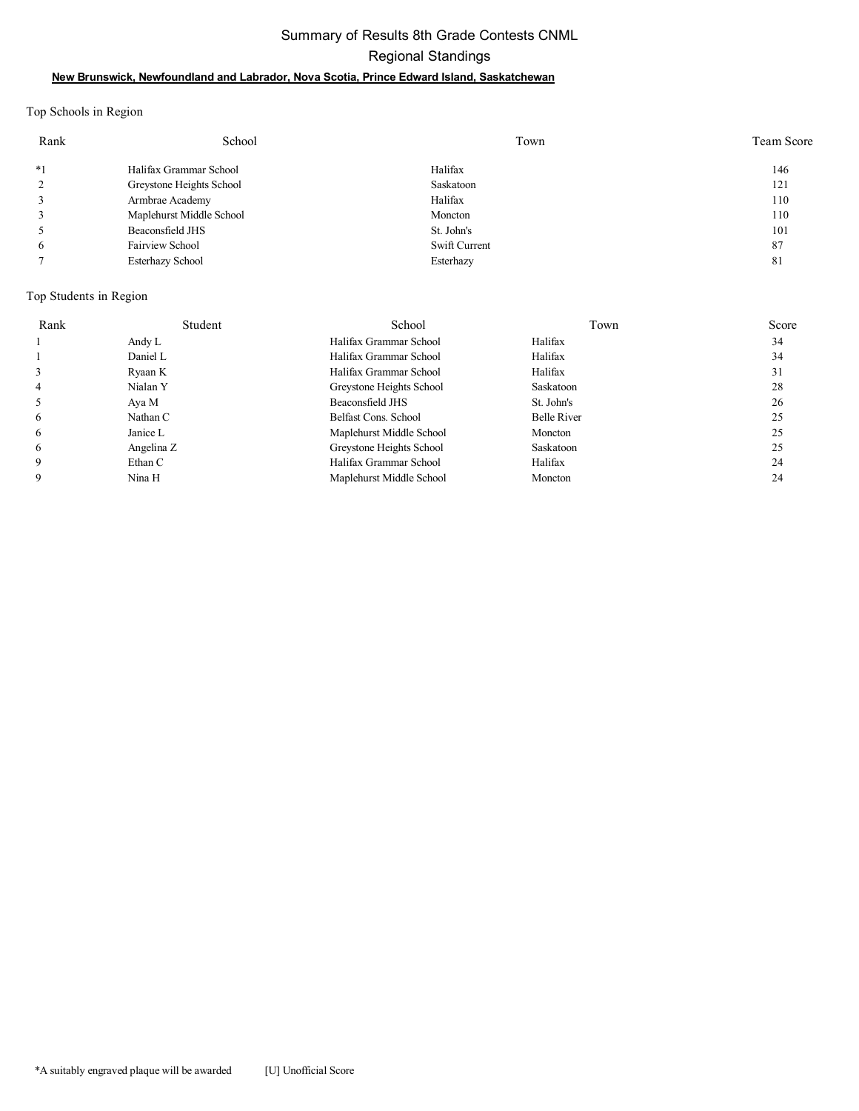# Summary of Results 8th Grade Contests CNML Regional Standings **New Brunswick, Newfoundland and Labrador, Nova Scotia, Prince Edward Island, Saskatchewan**

Top Schools in Region

| Rank | School                   | Town          | <b>Team Score</b> |
|------|--------------------------|---------------|-------------------|
| $*1$ | Halifax Grammar School   | Halifax       | 146               |
|      | Greystone Heights School | Saskatoon     | 121               |
|      | Armbrae Academy          | Halifax       | 110               |
|      | Maplehurst Middle School | Moncton       | 110               |
|      | Beaconsfield JHS         | St. John's    | 101               |
| 6    | Fairview School          | Swift Current | 87                |
|      | <b>Esterhazy School</b>  | Esterhazy     | 81                |

| Rank | Student    | School                   | Town               | Score |
|------|------------|--------------------------|--------------------|-------|
|      | Andy L     | Halifax Grammar School   | Halifax            | 34    |
|      | Daniel L   | Halifax Grammar School   | Halifax            | 34    |
|      | Ryaan K    | Halifax Grammar School   | Halifax            | 31    |
| 4    | Nialan Y   | Greystone Heights School | Saskatoon          | 28    |
|      | Aya M      | Beaconsfield JHS         | St. John's         | 26    |
| 6    | Nathan C   | Belfast Cons. School     | <b>Belle River</b> | 25    |
| 6    | Janice L   | Maplehurst Middle School | Moncton            | 25    |
| 6    | Angelina Z | Greystone Heights School | Saskatoon          | 25    |
| 9    | Ethan C    | Halifax Grammar School   | Halifax            | 24    |
| 9    | Nina H     | Maplehurst Middle School | Moncton            | 24    |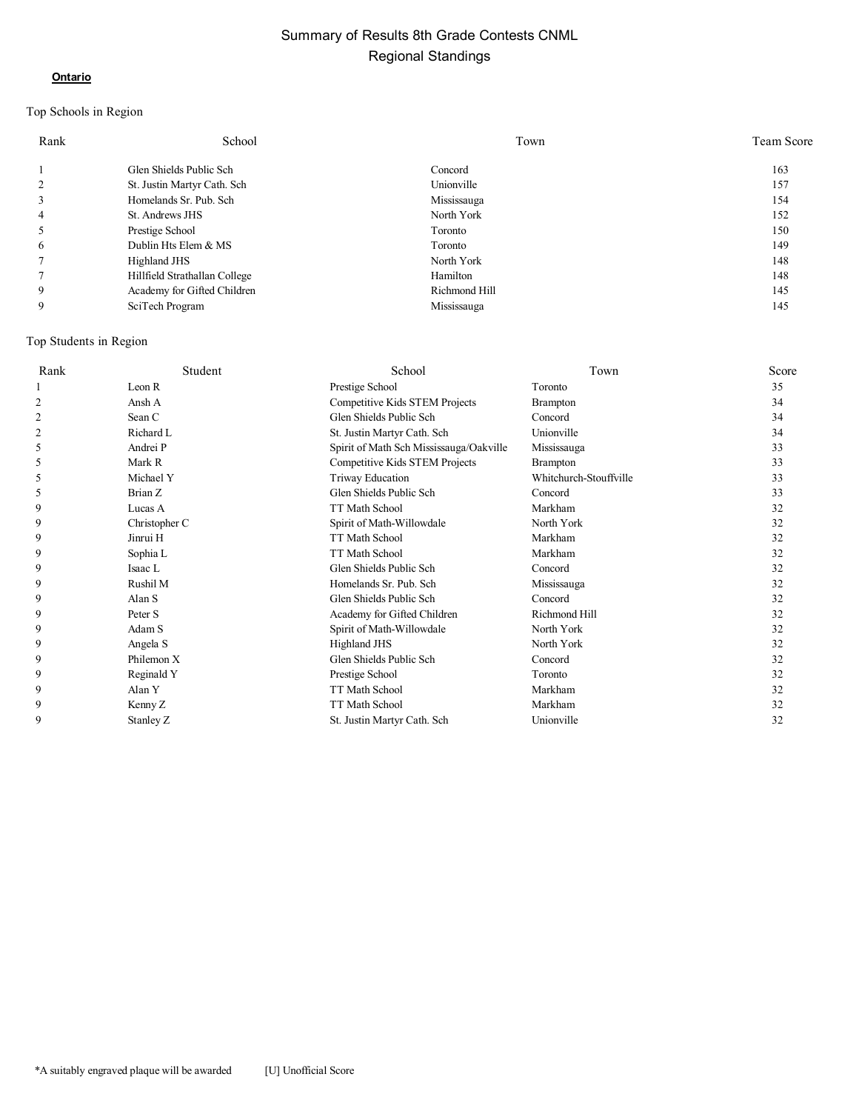#### **Ontario**

# Top Schools in Region

| Rank           | School                        | Town          | Team Score |
|----------------|-------------------------------|---------------|------------|
|                | Glen Shields Public Sch       | Concord       | 163        |
| 2              | St. Justin Martyr Cath. Sch   | Unionville    | 157        |
| 3              | Homelands Sr. Pub. Sch        | Mississauga   | 154        |
| $\overline{4}$ | St. Andrews JHS               | North York    | 152        |
| 5              | Prestige School               | Toronto       | 150        |
| 6              | Dublin Hts Elem & MS          | Toronto       | 149        |
|                | Highland JHS                  | North York    | 148        |
|                | Hillfield Strathallan College | Hamilton      | 148        |
| 9              | Academy for Gifted Children   | Richmond Hill | 145        |
| 9              | SciTech Program               | Mississauga   | 145        |

| Rank           | Student       | School                                  | Town                   | Score |
|----------------|---------------|-----------------------------------------|------------------------|-------|
|                | Leon R        | Prestige School                         | Toronto                | 35    |
| $\overline{2}$ | Ansh A        | Competitive Kids STEM Projects          | <b>Brampton</b>        | 34    |
| 2              | Sean C        | Glen Shields Public Sch                 | Concord                | 34    |
| 2              | Richard L     | St. Justin Martyr Cath. Sch             | Unionville             | 34    |
| 5              | Andrei P      | Spirit of Math Sch Mississauga/Oakville | Mississauga            | 33    |
| 5              | Mark R        | Competitive Kids STEM Projects          | <b>Brampton</b>        | 33    |
| 5              | Michael Y     | Triway Education                        | Whitchurch-Stouffville | 33    |
| 5              | Brian Z       | Glen Shields Public Sch                 | Concord                | 33    |
| 9              | Lucas A       | TT Math School                          | Markham                | 32    |
| 9              | Christopher C | Spirit of Math-Willowdale               | North York             | 32    |
| 9              | Jinrui H      | TT Math School                          | Markham                | 32    |
| 9              | Sophia L      | TT Math School                          | Markham                | 32    |
| 9              | Isaac L       | Glen Shields Public Sch                 | Concord                | 32    |
| 9              | Rushil M      | Homelands Sr. Pub. Sch                  | Mississauga            | 32    |
| 9              | Alan S        | Glen Shields Public Sch                 | Concord                | 32    |
| 9              | Peter S       | Academy for Gifted Children             | Richmond Hill          | 32    |
| 9              | Adam S        | Spirit of Math-Willowdale               | North York             | 32    |
| 9              | Angela S      | <b>Highland JHS</b>                     | North York             | 32    |
| 9              | Philemon X    | Glen Shields Public Sch                 | Concord                | 32    |
| 9              | Reginald Y    | Prestige School                         | Toronto                | 32    |
| 9              | Alan Y        | TT Math School                          | Markham                | 32    |
| 9              | Kenny Z       | TT Math School                          | Markham                | 32    |
| 9              | Stanley Z     | St. Justin Martyr Cath. Sch             | Unionville             | 32    |